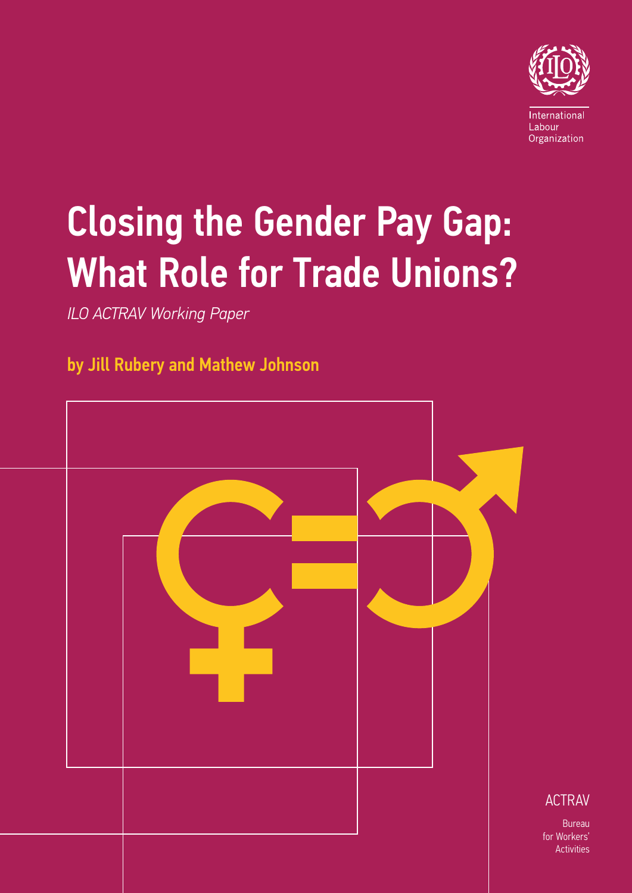

Bureau

**Activities** 

# Closing the Gender Pay Gap: What Role for Trade Unions?

*ILO ACTRAV Working Paper*

### by Jill Rubery and Mathew Johnson

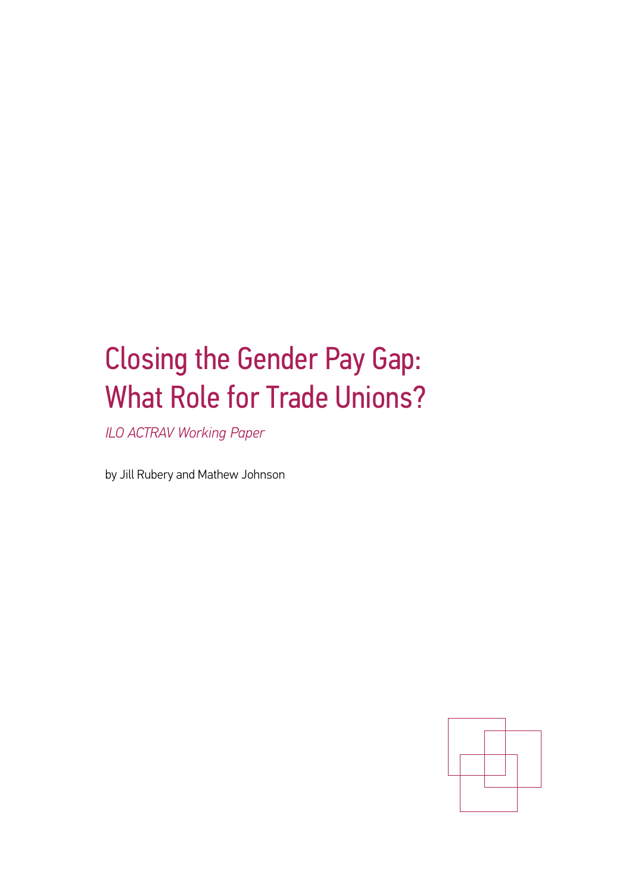## Closing the Gender Pay Gap: What Role for Trade Unions?

*ILO ACTRAV Working Paper*

by Jill Rubery and Mathew Johnson

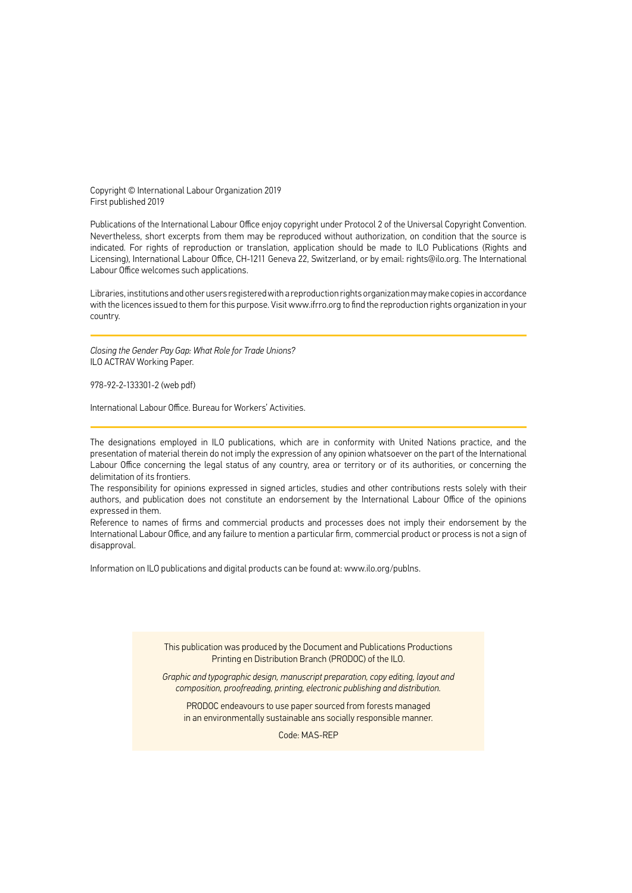Copyright © International Labour Organization 2019 First published 2019

Publications of the International Labour Office enjoy copyright under Protocol 2 of the Universal Copyright Convention. Nevertheless, short excerpts from them may be reproduced without authorization, on condition that the source is indicated. For rights of reproduction or translation, application should be made to ILO Publications (Rights and Licensing), International Labour Office, CH-1211 Geneva 22, Switzerland, or by email: rights@ilo.org. The International Labour Office welcomes such applications.

Libraries, institutions and other users registered with a reproduction rights organization may make copies in accordance with the licences issued to them for this purpose. Visit www.ifrro.org to find the reproduction rights organization in your country.

*Closing the Gender Pay Gap: What Role for Trade Unions?*  ILO ACTRAV Working Paper.

978-92-2-133301-2 (web pdf)

International Labour Office. Bureau for Workers' Activities.

The designations employed in ILO publications, which are in conformity with United Nations practice, and the presentation of material therein do not imply the expression of any opinion whatsoever on the part of the International Labour Office concerning the legal status of any country, area or territory or of its authorities, or concerning the delimitation of its frontiers.

The responsibility for opinions expressed in signed articles, studies and other contributions rests solely with their authors, and publication does not constitute an endorsement by the International Labour Office of the opinions expressed in them.

Reference to names of firms and commercial products and processes does not imply their endorsement by the International Labour Office, and any failure to mention a particular firm, commercial product or process is not a sign of disapproval.

Information on ILO publications and digital products can be found at: [www.ilo.org/publns.](http://www.ilo.org/publns)

This publication was produced by the Document and Publications Productions Printing en Distribution Branch (PRODOC) of the ILO.

*Graphic and typographic design, manuscript preparation, copy editing, layout and composition, proofreading, printing, electronic publishing and distribution.*

PRODOC endeavours to use paper sourced from forests managed in an environmentally sustainable ans socially responsible manner.

Code: MAS-REP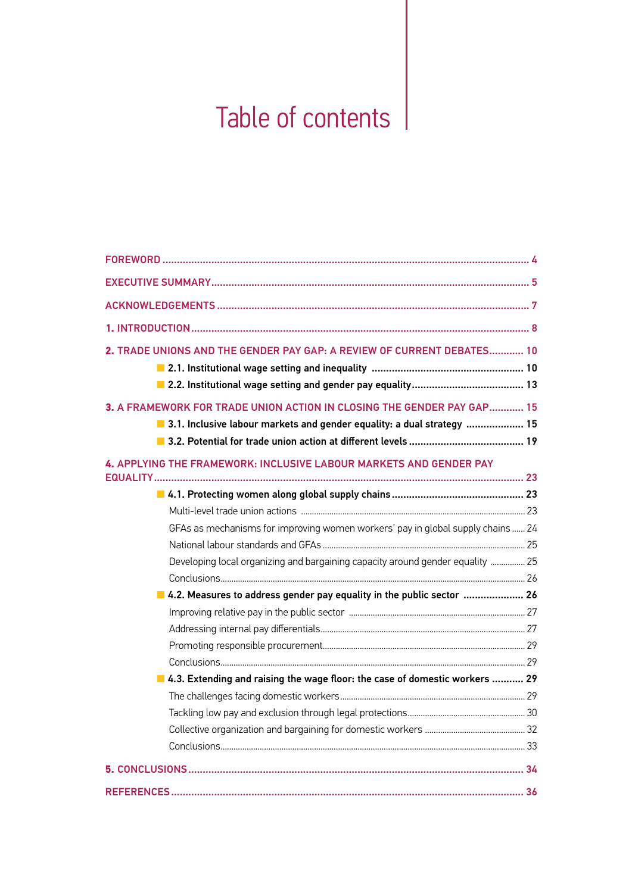## Table of contents

| 2. TRADE UNIONS AND THE GENDER PAY GAP: A REVIEW OF CURRENT DEBATES 10                                                                             |  |
|----------------------------------------------------------------------------------------------------------------------------------------------------|--|
| 3. A FRAMEWORK FOR TRADE UNION ACTION IN CLOSING THE GENDER PAY GAP 15<br>■ 3.1. Inclusive labour markets and gender equality: a dual strategy  15 |  |
| 4. APPLYING THE FRAMEWORK: INCLUSIVE LABOUR MARKETS AND GENDER PAY<br><b>EQUALITY</b>                                                              |  |
|                                                                                                                                                    |  |
|                                                                                                                                                    |  |
| GFAs as mechanisms for improving women workers' pay in global supply chains  24                                                                    |  |
|                                                                                                                                                    |  |
| Developing local organizing and bargaining capacity around gender equality  25                                                                     |  |
|                                                                                                                                                    |  |
| 4.2. Measures to address gender pay equality in the public sector  26                                                                              |  |
|                                                                                                                                                    |  |
|                                                                                                                                                    |  |
|                                                                                                                                                    |  |
|                                                                                                                                                    |  |
| 4.3. Extending and raising the wage floor: the case of domestic workers  29                                                                        |  |
|                                                                                                                                                    |  |
|                                                                                                                                                    |  |
|                                                                                                                                                    |  |
|                                                                                                                                                    |  |
|                                                                                                                                                    |  |
|                                                                                                                                                    |  |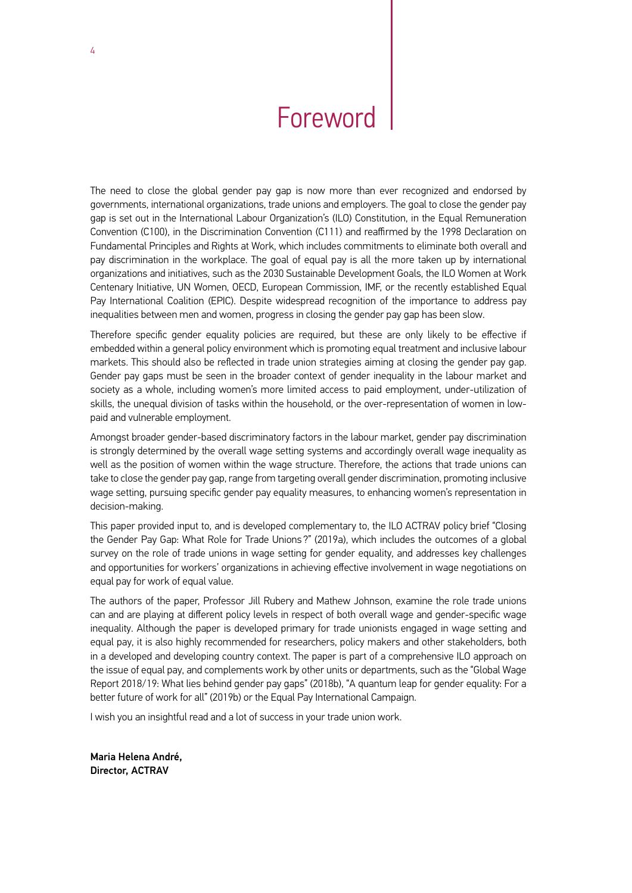## Foreword

<span id="page-5-0"></span>The need to close the global gender pay gap is now more than ever recognized and endorsed by governments, international organizations, trade unions and employers. The goal to close the gender pay gap is set out in the International Labour Organization's (ILO) Constitution, in the Equal Remuneration Convention (C100), in the Discrimination Convention (C111) and reaffirmed by the 1998 Declaration on Fundamental Principles and Rights at Work, which includes commitments to eliminate both overall and pay discrimination in the workplace. The goal of equal pay is all the more taken up by international organizations and initiatives, such as the 2030 Sustainable Development Goals, the ILO Women at Work Centenary Initiative, UN Women, OECD, European Commission, IMF, or the recently established Equal Pay International Coalition (EPIC). Despite widespread recognition of the importance to address pay inequalities between men and women, progress in closing the gender pay gap has been slow.

Therefore specific gender equality policies are required, but these are only likely to be effective if embedded within a general policy environment which is promoting equal treatment and inclusive labour markets. This should also be reflected in trade union strategies aiming at closing the gender pay gap. Gender pay gaps must be seen in the broader context of gender inequality in the labour market and society as a whole, including women's more limited access to paid employment, under-utilization of skills, the unequal division of tasks within the household, or the over-representation of women in lowpaid and vulnerable employment.

Amongst broader gender-based discriminatory factors in the labour market, gender pay discrimination is strongly determined by the overall wage setting systems and accordingly overall wage inequality as well as the position of women within the wage structure. Therefore, the actions that trade unions can take to close the gender pay gap, range from targeting overall gender discrimination, promoting inclusive wage setting, pursuing specific gender pay equality measures, to enhancing women's representation in decision-making.

This paper provided input to, and is developed complementary to, the ILO ACTRAV policy brief "Closing the Gender Pay Gap: What Role for Trade Unions ?" (2019a), which includes the outcomes of a global survey on the role of trade unions in wage setting for gender equality, and addresses key challenges and opportunities for workers' organizations in achieving effective involvement in wage negotiations on equal pay for work of equal value.

The authors of the paper, Professor Jill Rubery and Mathew Johnson, examine the role trade unions can and are playing at different policy levels in respect of both overall wage and gender-specific wage inequality. Although the paper is developed primary for trade unionists engaged in wage setting and equal pay, it is also highly recommended for researchers, policy makers and other stakeholders, both in a developed and developing country context. The paper is part of a comprehensive ILO approach on the issue of equal pay, and complements work by other units or departments, such as the "Global Wage Report 2018/19: What lies behind gender pay gaps" (2018b), "A quantum leap for gender equality: For a better future of work for all" (2019b) or the Equal Pay International Campaign.

I wish you an insightful read and a lot of success in your trade union work.

Maria Helena André, Director, ACTRAV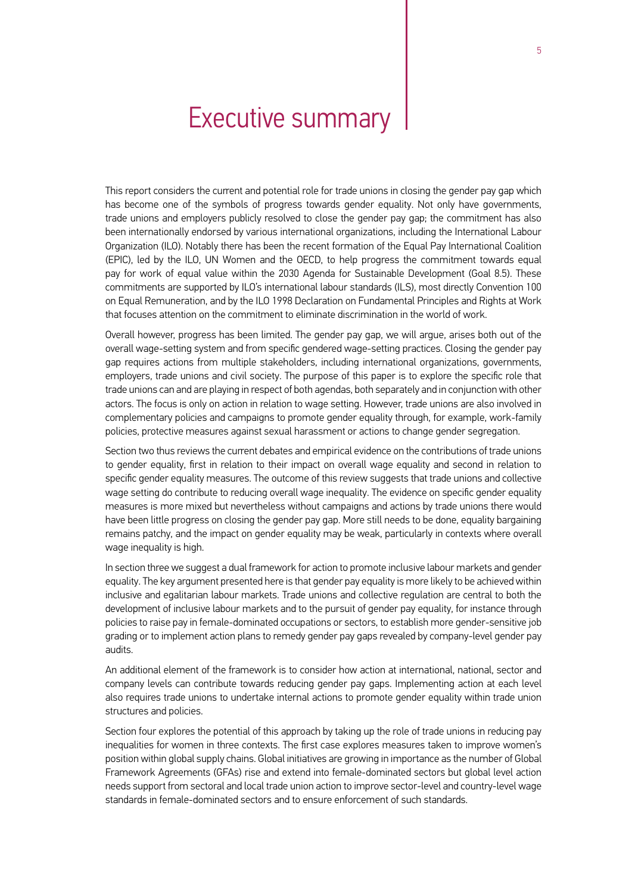### Executive summary

<span id="page-6-0"></span>This report considers the current and potential role for trade unions in closing the gender pay gap which has become one of the symbols of progress towards gender equality. Not only have governments, trade unions and employers publicly resolved to close the gender pay gap; the commitment has also been internationally endorsed by various international organizations, including the International Labour Organization (ILO). Notably there has been the recent formation of the Equal Pay International Coalition (EPIC), led by the ILO, UN Women and the OECD, to help progress the commitment towards equal pay for work of equal value within the 2030 Agenda for Sustainable Development (Goal 8.5). These commitments are supported by ILO's international labour standards (ILS), most directly Convention 100 on Equal Remuneration, and by the ILO 1998 Declaration on Fundamental Principles and Rights at Work that focuses attention on the commitment to eliminate discrimination in the world of work.

Overall however, progress has been limited. The gender pay gap, we will argue, arises both out of the overall wage-setting system and from specific gendered wage-setting practices. Closing the gender pay gap requires actions from multiple stakeholders, including international organizations, governments, employers, trade unions and civil society. The purpose of this paper is to explore the specific role that trade unions can and are playing in respect of both agendas, both separately and in conjunction with other actors. The focus is only on action in relation to wage setting. However, trade unions are also involved in complementary policies and campaigns to promote gender equality through, for example, work-family policies, protective measures against sexual harassment or actions to change gender segregation.

Section two thus reviews the current debates and empirical evidence on the contributions of trade unions to gender equality, first in relation to their impact on overall wage equality and second in relation to specific gender equality measures. The outcome of this review suggests that trade unions and collective wage setting do contribute to reducing overall wage inequality. The evidence on specific gender equality measures is more mixed but nevertheless without campaigns and actions by trade unions there would have been little progress on closing the gender pay gap. More still needs to be done, equality bargaining remains patchy, and the impact on gender equality may be weak, particularly in contexts where overall wage inequality is high.

In section three we suggest a dual framework for action to promote inclusive labour markets and gender equality. The key argument presented here is that gender pay equality is more likely to be achieved within inclusive and egalitarian labour markets. Trade unions and collective regulation are central to both the development of inclusive labour markets and to the pursuit of gender pay equality, for instance through policies to raise pay in female-dominated occupations or sectors, to establish more gender-sensitive job grading or to implement action plans to remedy gender pay gaps revealed by company-level gender pay audits.

An additional element of the framework is to consider how action at international, national, sector and company levels can contribute towards reducing gender pay gaps. Implementing action at each level also requires trade unions to undertake internal actions to promote gender equality within trade union structures and policies.

Section four explores the potential of this approach by taking up the role of trade unions in reducing pay inequalities for women in three contexts. The first case explores measures taken to improve women's position within global supply chains. Global initiatives are growing in importance as the number of Global Framework Agreements (GFAs) rise and extend into female-dominated sectors but global level action needs support from sectoral and local trade union action to improve sector-level and country-level wage standards in female-dominated sectors and to ensure enforcement of such standards.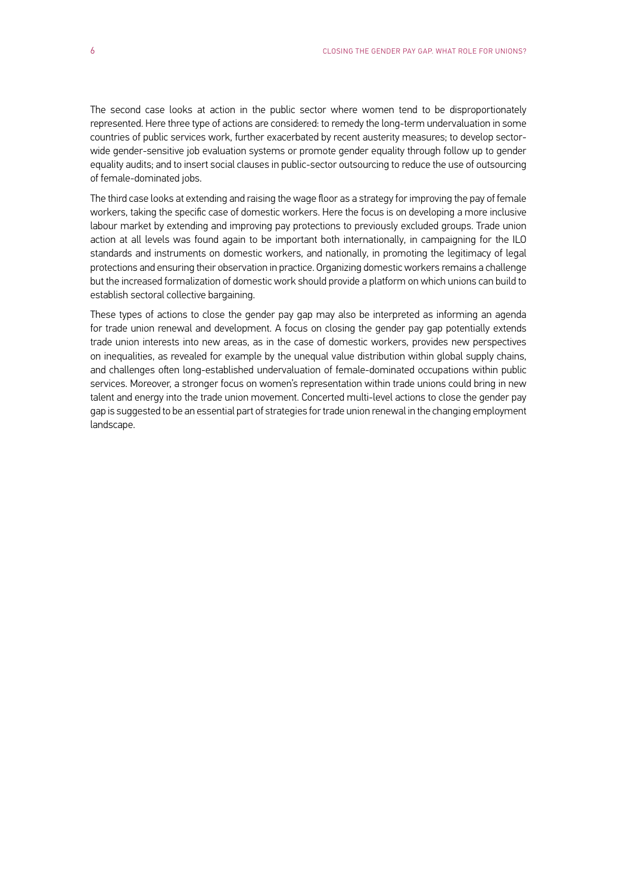The second case looks at action in the public sector where women tend to be disproportionately represented. Here three type of actions are considered: to remedy the long-term undervaluation in some countries of public services work, further exacerbated by recent austerity measures; to develop sectorwide gender-sensitive job evaluation systems or promote gender equality through follow up to gender equality audits; and to insert social clauses in public-sector outsourcing to reduce the use of outsourcing of female-dominated jobs.

The third case looks at extending and raising the wage floor as a strategy for improving the pay of female workers, taking the specific case of domestic workers. Here the focus is on developing a more inclusive labour market by extending and improving pay protections to previously excluded groups. Trade union action at all levels was found again to be important both internationally, in campaigning for the ILO standards and instruments on domestic workers, and nationally, in promoting the legitimacy of legal protections and ensuring their observation in practice. Organizing domestic workers remains a challenge but the increased formalization of domestic work should provide a platform on which unions can build to establish sectoral collective bargaining.

These types of actions to close the gender pay gap may also be interpreted as informing an agenda for trade union renewal and development. A focus on closing the gender pay gap potentially extends trade union interests into new areas, as in the case of domestic workers, provides new perspectives on inequalities, as revealed for example by the unequal value distribution within global supply chains, and challenges often long-established undervaluation of female-dominated occupations within public services. Moreover, a stronger focus on women's representation within trade unions could bring in new talent and energy into the trade union movement. Concerted multi-level actions to close the gender pay gap is suggested to be an essential part of strategies for trade union renewal in the changing employment landscape.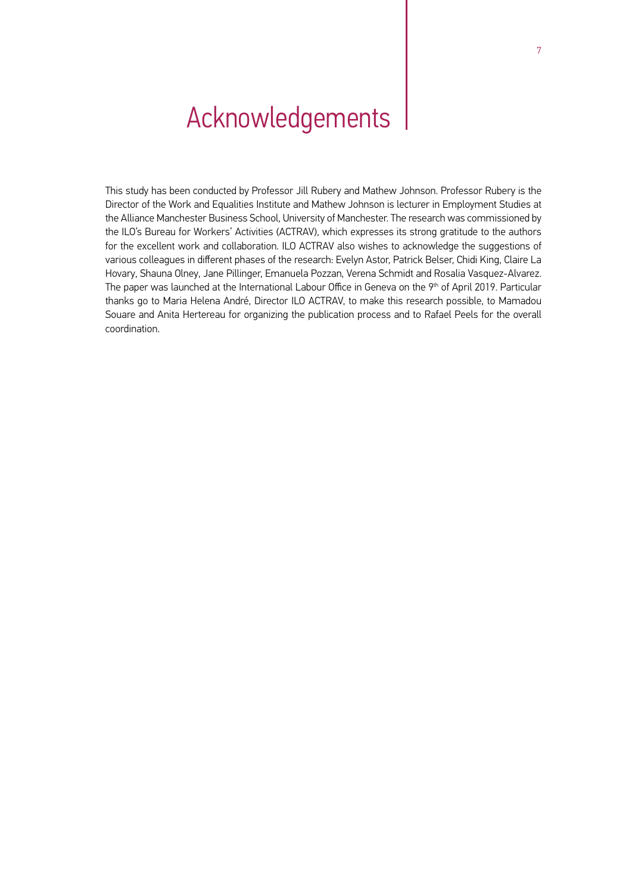## <span id="page-8-0"></span>Acknowledgements

This study has been conducted by Professor Jill Rubery and Mathew Johnson. Professor Rubery is the Director of the Work and Equalities Institute and Mathew Johnson is lecturer in Employment Studies at the Alliance Manchester Business School, University of Manchester. The research was commissioned by the ILO's Bureau for Workers' Activities (ACTRAV), which expresses its strong gratitude to the authors for the excellent work and collaboration. ILO ACTRAV also wishes to acknowledge the suggestions of various colleagues in different phases of the research: Evelyn Astor, Patrick Belser, Chidi King, Claire La Hovary, Shauna Olney, Jane Pillinger, Emanuela Pozzan, Verena Schmidt and Rosalia Vasquez-Alvarez. The paper was launched at the International Labour Office in Geneva on the 9<sup>th</sup> of April 2019. Particular thanks go to Maria Helena André, Director ILO ACTRAV, to make this research possible, to Mamadou Souare and Anita Hertereau for organizing the publication process and to Rafael Peels for the overall coordination.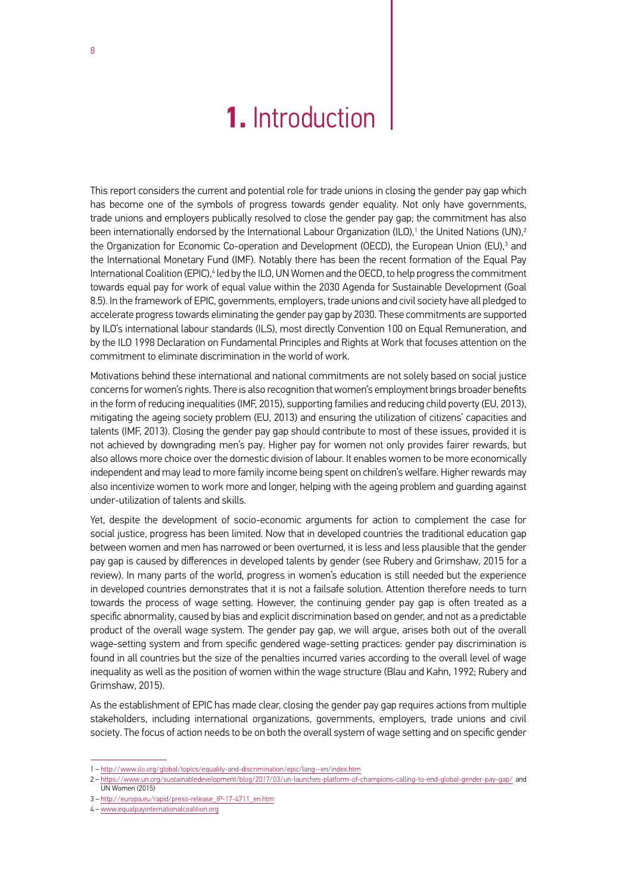### **1.** Introduction

<span id="page-9-0"></span>This report considers the current and potential role for trade unions in closing the gender pay gap which has become one of the symbols of progress towards gender equality. Not only have governments, trade unions and employers publically resolved to close the gender pay gap; the commitment has also been internationally endorsed by the International Labour Organization (ILO),1 the United Nations (UN),<sup>2</sup> the Organization for Economic Co-operation and Development (OECD), the European Union (EU),<sup>3</sup> and the International Monetary Fund (IMF). Notably there has been the recent formation of the Equal Pay International Coalition (EPIC),<sup>4</sup> led by the ILO, UN Women and the OECD, to help progress the commitment towards equal pay for work of equal value within the 2030 Agenda for Sustainable Development (Goal 8.5). In the framework of EPIC, governments, employers, trade unions and civil society have all pledged to accelerate progress towards eliminating the gender pay gap by 2030. These commitments are supported by ILO's international labour standards (ILS), most directly Convention 100 on Equal Remuneration, and by the ILO 1998 Declaration on Fundamental Principles and Rights at Work that focuses attention on the commitment to eliminate discrimination in the world of work.

Motivations behind these international and national commitments are not solely based on social justice concerns for women's rights. There is also recognition that women's employment brings broader benefits in the form of reducing inequalities (IMF, 2015), supporting families and reducing child poverty (EU, 2013), mitigating the ageing society problem (EU, 2013) and ensuring the utilization of citizens' capacities and talents (IMF, 2013). Closing the gender pay gap should contribute to most of these issues, provided it is not achieved by downgrading men's pay. Higher pay for women not only provides fairer rewards, but also allows more choice over the domestic division of labour. It enables women to be more economically independent and may lead to more family income being spent on children's welfare. Higher rewards may also incentivize women to work more and longer, helping with the ageing problem and guarding against under-utilization of talents and skills.

Yet, despite the development of socio-economic arguments for action to complement the case for social justice, progress has been limited. Now that in developed countries the traditional education gap between women and men has narrowed or been overturned, it is less and less plausible that the gender pay gap is caused by differences in developed talents by gender (see Rubery and Grimshaw, 2015 for a review). In many parts of the world, progress in women's education is still needed but the experience in developed countries demonstrates that it is not a failsafe solution. Attention therefore needs to turn towards the process of wage setting. However, the continuing gender pay gap is often treated as a specific abnormality, caused by bias and explicit discrimination based on gender, and not as a predictable product of the overall wage system. The gender pay gap, we will argue, arises both out of the overall wage-setting system and from specific gendered wage-setting practices: gender pay discrimination is found in all countries but the size of the penalties incurred varies according to the overall level of wage inequality as well as the position of women within the wage structure (Blau and Kahn, 1992; Rubery and Grimshaw, 2015).

As the establishment of EPIC has made clear, closing the gender pay gap requires actions from multiple stakeholders, including international organizations, governments, employers, trade unions and civil society. The focus of action needs to be on both the overall system of wage setting and on specific gender

<sup>1 –</sup> http://www.ilo.org/global/topics/equality-and-discrimination/epic/lang--en/index.htm

<sup>2 –</sup> https://www.un.org/sustainabledevelopment/blog/2017/03/un-launches-platform-of-champions-calling-to-end-global-gender-pay-gap/ and UN Women (2015)

<sup>3 –</sup> http://europa.eu/rapid/press-release\_IP-17-4711\_en.htm

<sup>4 –</sup> www.equalpayinternationalcoalition.org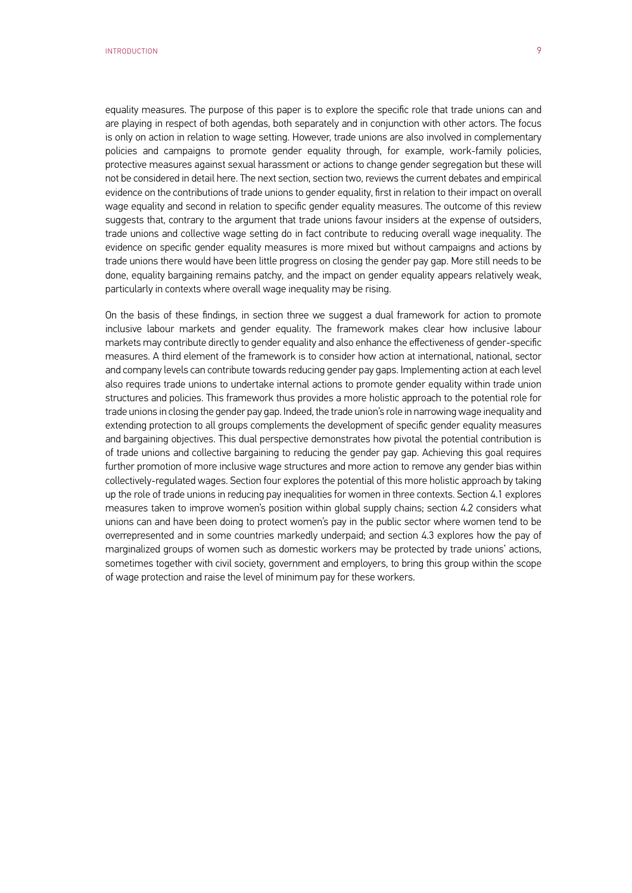equality measures. The purpose of this paper is to explore the specific role that trade unions can and are playing in respect of both agendas, both separately and in conjunction with other actors. The focus is only on action in relation to wage setting. However, trade unions are also involved in complementary policies and campaigns to promote gender equality through, for example, work-family policies, protective measures against sexual harassment or actions to change gender segregation but these will not be considered in detail here. The next section, section two, reviews the current debates and empirical evidence on the contributions of trade unions to gender equality, first in relation to their impact on overall wage equality and second in relation to specific gender equality measures. The outcome of this review suggests that, contrary to the argument that trade unions favour insiders at the expense of outsiders, trade unions and collective wage setting do in fact contribute to reducing overall wage inequality. The evidence on specific gender equality measures is more mixed but without campaigns and actions by trade unions there would have been little progress on closing the gender pay gap. More still needs to be done, equality bargaining remains patchy, and the impact on gender equality appears relatively weak, particularly in contexts where overall wage inequality may be rising.

On the basis of these findings, in section three we suggest a dual framework for action to promote inclusive labour markets and gender equality. The framework makes clear how inclusive labour markets may contribute directly to gender equality and also enhance the effectiveness of gender-specific measures. A third element of the framework is to consider how action at international, national, sector and company levels can contribute towards reducing gender pay gaps. Implementing action at each level also requires trade unions to undertake internal actions to promote gender equality within trade union structures and policies. This framework thus provides a more holistic approach to the potential role for trade unions in closing the gender pay gap. Indeed, the trade union's role in narrowing wage inequality and extending protection to all groups complements the development of specific gender equality measures and bargaining objectives. This dual perspective demonstrates how pivotal the potential contribution is of trade unions and collective bargaining to reducing the gender pay gap. Achieving this goal requires further promotion of more inclusive wage structures and more action to remove any gender bias within collectively-regulated wages. Section four explores the potential of this more holistic approach by taking up the role of trade unions in reducing pay inequalities for women in three contexts. Section 4.1 explores measures taken to improve women's position within global supply chains; section 4.2 considers what unions can and have been doing to protect women's pay in the public sector where women tend to be overrepresented and in some countries markedly underpaid; and section 4.3 explores how the pay of marginalized groups of women such as domestic workers may be protected by trade unions' actions, sometimes together with civil society, government and employers, to bring this group within the scope of wage protection and raise the level of minimum pay for these workers.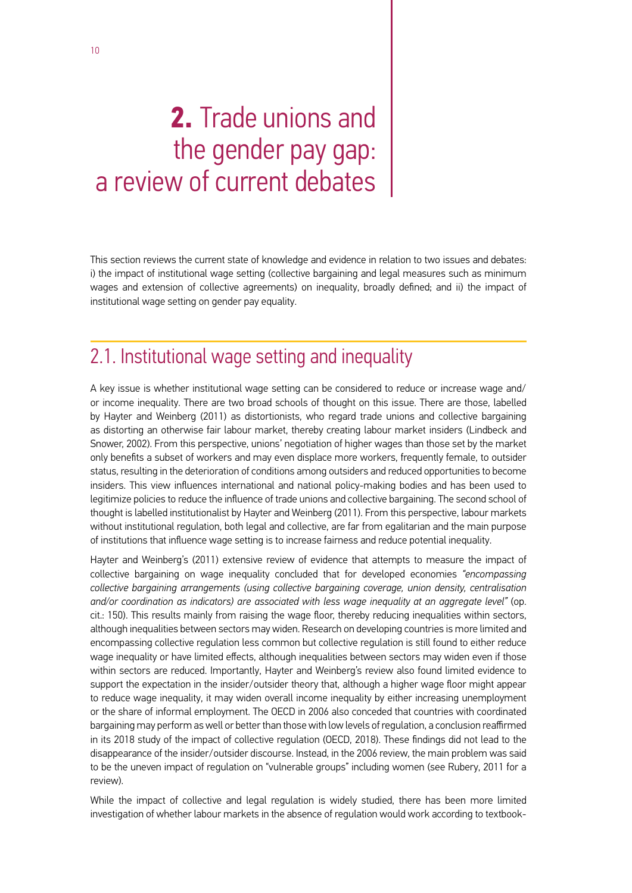## <span id="page-11-0"></span>**2.** Trade unions and the gender pay gap: a review of current debates

This section reviews the current state of knowledge and evidence in relation to two issues and debates: i) the impact of institutional wage setting (collective bargaining and legal measures such as minimum wages and extension of collective agreements) on inequality, broadly defined; and ii) the impact of institutional wage setting on gender pay equality.

### 2.1. Institutional wage setting and inequality

A key issue is whether institutional wage setting can be considered to reduce or increase wage and/ or income inequality. There are two broad schools of thought on this issue. There are those, labelled by Hayter and Weinberg (2011) as distortionists, who regard trade unions and collective bargaining as distorting an otherwise fair labour market, thereby creating labour market insiders (Lindbeck and Snower, 2002). From this perspective, unions' negotiation of higher wages than those set by the market only benefits a subset of workers and may even displace more workers, frequently female, to outsider status, resulting in the deterioration of conditions among outsiders and reduced opportunities to become insiders. This view influences international and national policy-making bodies and has been used to legitimize policies to reduce the influence of trade unions and collective bargaining. The second school of thought is labelled institutionalist by Hayter and Weinberg (2011). From this perspective, labour markets without institutional regulation, both legal and collective, are far from egalitarian and the main purpose of institutions that influence wage setting is to increase fairness and reduce potential inequality.

Hayter and Weinberg's (2011) extensive review of evidence that attempts to measure the impact of collective bargaining on wage inequality concluded that for developed economies *"encompassing collective bargaining arrangements (using collective bargaining coverage, union density, centralisation and/or coordination as indicators) are associated with less wage inequality at an aggregate level"* (op. cit.: 150). This results mainly from raising the wage floor, thereby reducing inequalities within sectors, although inequalities between sectors may widen. Research on developing countries is more limited and encompassing collective regulation less common but collective regulation is still found to either reduce wage inequality or have limited effects, although inequalities between sectors may widen even if those within sectors are reduced. Importantly, Hayter and Weinberg's review also found limited evidence to support the expectation in the insider/outsider theory that, although a higher wage floor might appear to reduce wage inequality, it may widen overall income inequality by either increasing unemployment or the share of informal employment. The OECD in 2006 also conceded that countries with coordinated bargaining may perform as well or better than those with low levels of regulation, a conclusion reaffirmed in its 2018 study of the impact of collective regulation (OECD, 2018). These findings did not lead to the disappearance of the insider/outsider discourse. Instead, in the 2006 review, the main problem was said to be the uneven impact of regulation on "vulnerable groups" including women (see Rubery, 2011 for a review).

While the impact of collective and legal regulation is widely studied, there has been more limited investigation of whether labour markets in the absence of regulation would work according to textbook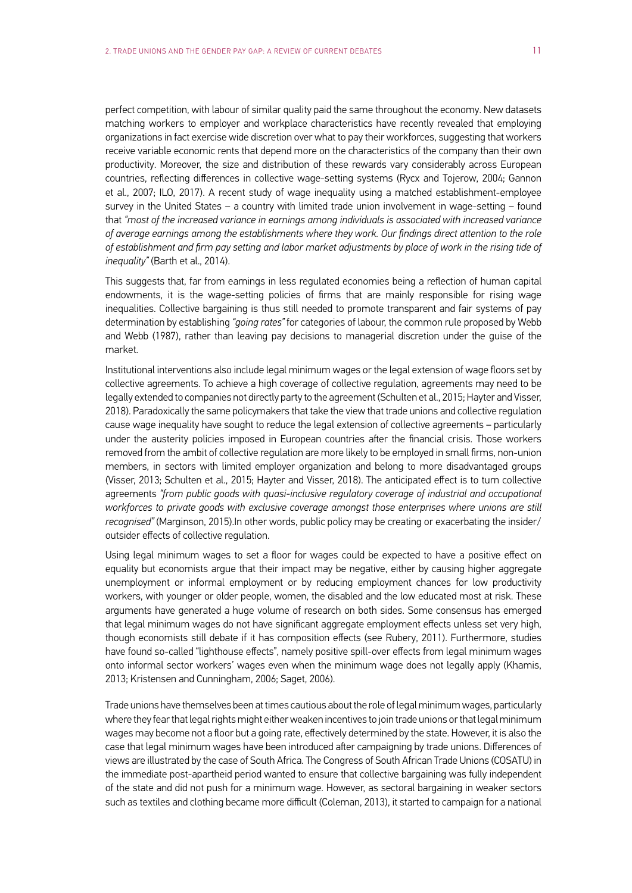perfect competition, with labour of similar quality paid the same throughout the economy. New datasets matching workers to employer and workplace characteristics have recently revealed that employing organizations in fact exercise wide discretion over what to pay their workforces, suggesting that workers receive variable economic rents that depend more on the characteristics of the company than their own productivity. Moreover, the size and distribution of these rewards vary considerably across European countries, reflecting differences in collective wage-setting systems (Rycx and Tojerow, 2004; Gannon et al., 2007; ILO, 2017). A recent study of wage inequality using a matched establishment-employee survey in the United States – a country with limited trade union involvement in wage-setting – found that *"most of the increased variance in earnings among individuals is associated with increased variance of average earnings among the establishments where they work. Our findings direct attention to the role of establishment and firm pay setting and labor market adjustments by place of work in the rising tide of inequality"* (Barth et al., 2014).

This suggests that, far from earnings in less regulated economies being a reflection of human capital endowments, it is the wage-setting policies of firms that are mainly responsible for rising wage inequalities. Collective bargaining is thus still needed to promote transparent and fair systems of pay determination by establishing *"going rates"* for categories of labour, the common rule proposed by Webb and Webb (1987), rather than leaving pay decisions to managerial discretion under the guise of the market.

Institutional interventions also include legal minimum wages or the legal extension of wage floors set by collective agreements. To achieve a high coverage of collective regulation, agreements may need to be legally extended to companies not directly party to the agreement (Schulten et al., 2015; Hayter and Visser, 2018). Paradoxically the same policymakers that take the view that trade unions and collective regulation cause wage inequality have sought to reduce the legal extension of collective agreements – particularly under the austerity policies imposed in European countries after the financial crisis. Those workers removed from the ambit of collective regulation are more likely to be employed in small firms, non-union members, in sectors with limited employer organization and belong to more disadvantaged groups (Visser, 2013; Schulten et al., 2015; Hayter and Visser, 2018). The anticipated effect is to turn collective agreements *"from public goods with quasi-inclusive regulatory coverage of industrial and occupational workforces to private goods with exclusive coverage amongst those enterprises where unions are still recognised"* (Marginson, 2015).In other words, public policy may be creating or exacerbating the insider/ outsider effects of collective regulation.

Using legal minimum wages to set a floor for wages could be expected to have a positive effect on equality but economists argue that their impact may be negative, either by causing higher aggregate unemployment or informal employment or by reducing employment chances for low productivity workers, with younger or older people, women, the disabled and the low educated most at risk. These arguments have generated a huge volume of research on both sides. Some consensus has emerged that legal minimum wages do not have significant aggregate employment effects unless set very high, though economists still debate if it has composition effects (see Rubery, 2011). Furthermore, studies have found so-called "lighthouse effects", namely positive spill-over effects from legal minimum wages onto informal sector workers' wages even when the minimum wage does not legally apply (Khamis, 2013; Kristensen and Cunningham, 2006; Saget, 2006).

Trade unions have themselves been at times cautious about the role of legal minimum wages, particularly where they fear that legal rights might either weaken incentives to join trade unions or that legal minimum wages may become not a floor but a going rate, effectively determined by the state. However, it is also the case that legal minimum wages have been introduced after campaigning by trade unions. Differences of views are illustrated by the case of South Africa. The Congress of South African Trade Unions (COSATU) in the immediate post-apartheid period wanted to ensure that collective bargaining was fully independent of the state and did not push for a minimum wage. However, as sectoral bargaining in weaker sectors such as textiles and clothing became more difficult (Coleman, 2013), it started to campaign for a national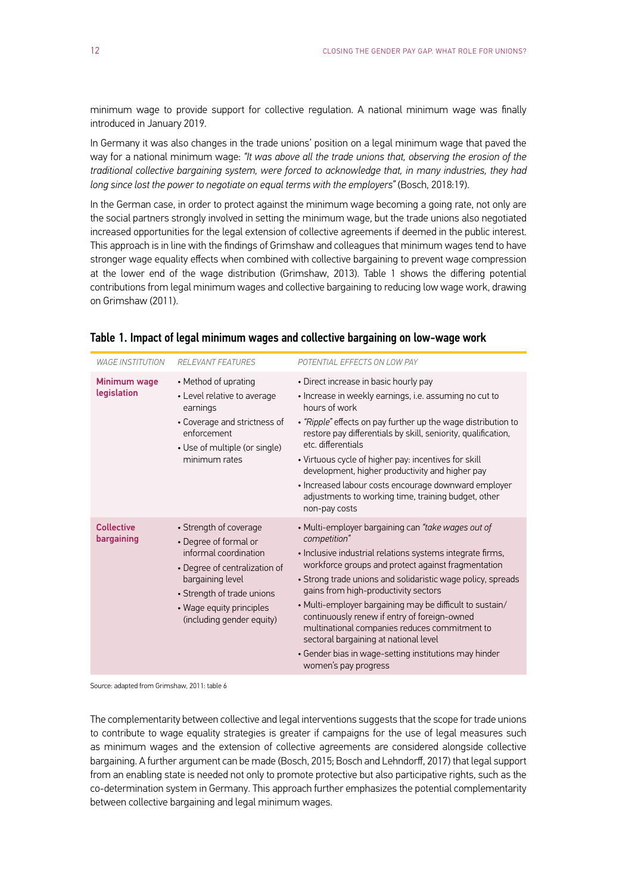minimum wage to provide support for collective regulation. A national minimum wage was finally introduced in January 2019.

In Germany it was also changes in the trade unions' position on a legal minimum wage that paved the way for a national minimum wage: *"It was above all the trade unions that, observing the erosion of the traditional collective bargaining system, were forced to acknowledge that, in many industries, they had long since lost the power to negotiate on equal terms with the employers"* (Bosch, 2018:19).

In the German case, in order to protect against the minimum wage becoming a going rate, not only are the social partners strongly involved in setting the minimum wage, but the trade unions also negotiated increased opportunities for the legal extension of collective agreements if deemed in the public interest. This approach is in line with the findings of Grimshaw and colleagues that minimum wages tend to have stronger wage equality effects when combined with collective bargaining to prevent wage compression at the lower end of the wage distribution (Grimshaw, 2013). Table 1 shows the differing potential contributions from legal minimum wages and collective bargaining to reducing low wage work, drawing on Grimshaw (2011).

| <b>WAGE INSTITUTION</b>         | <b>RELEVANT FEATURES</b>                                                                                                                                                                                             | POTENTIAL EFFECTS ON LOW PAY                                                                                                                                                                                                                                                                                                                                                                                                                                                                                                                                                        |
|---------------------------------|----------------------------------------------------------------------------------------------------------------------------------------------------------------------------------------------------------------------|-------------------------------------------------------------------------------------------------------------------------------------------------------------------------------------------------------------------------------------------------------------------------------------------------------------------------------------------------------------------------------------------------------------------------------------------------------------------------------------------------------------------------------------------------------------------------------------|
| Minimum wage<br>legislation     | • Method of uprating<br>• Level relative to average<br>earnings<br>• Coverage and strictness of<br>enforcement<br>• Use of multiple (or single)<br>minimum rates                                                     | • Direct increase in basic hourly pay<br>· Increase in weekly earnings, i.e. assuming no cut to<br>hours of work<br>· "Ripple" effects on pay further up the wage distribution to<br>restore pay differentials by skill, seniority, qualification,<br>etc. differentials<br>• Virtuous cycle of higher pay: incentives for skill<br>development, higher productivity and higher pay<br>· Increased labour costs encourage downward employer<br>adjustments to working time, training budget, other<br>non-pay costs                                                                 |
| <b>Collective</b><br>bargaining | • Strength of coverage<br>• Degree of formal or<br>informal coordination<br>• Degree of centralization of<br>bargaining level<br>• Strength of trade unions<br>• Wage equity principles<br>(including gender equity) | • Multi-employer bargaining can "take wages out of<br>competition"<br>• Inclusive industrial relations systems integrate firms,<br>workforce groups and protect against fragmentation<br>• Strong trade unions and solidaristic wage policy, spreads<br>gains from high-productivity sectors<br>• Multi-employer bargaining may be difficult to sustain/<br>continuously renew if entry of foreign-owned<br>multinational companies reduces commitment to<br>sectoral bargaining at national level<br>• Gender bias in wage-setting institutions may hinder<br>women's pay progress |

#### Table 1. Impact of legal minimum wages and collective bargaining on low-wage work

Source: adapted from Grimshaw, 2011: table 6

The complementarity between collective and legal interventions suggests that the scope for trade unions to contribute to wage equality strategies is greater if campaigns for the use of legal measures such as minimum wages and the extension of collective agreements are considered alongside collective bargaining. A further argument can be made (Bosch, 2015; Bosch and Lehndorff, 2017) that legal support from an enabling state is needed not only to promote protective but also participative rights, such as the co-determination system in Germany. This approach further emphasizes the potential complementarity between collective bargaining and legal minimum wages.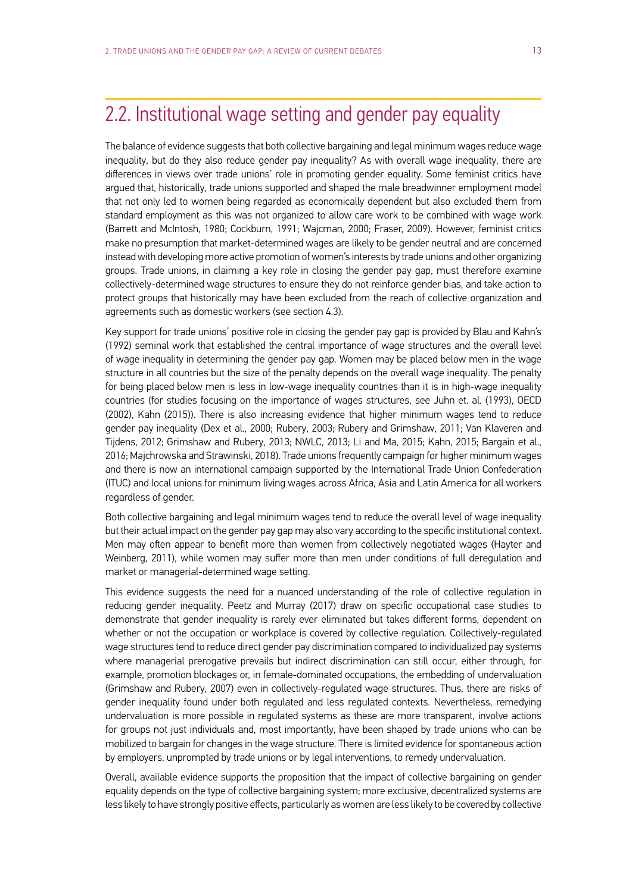### <span id="page-14-0"></span>2.2. Institutional wage setting and gender pay equality

The balance of evidence suggests that both collective bargaining and legal minimum wages reduce wage inequality, but do they also reduce gender pay inequality? As with overall wage inequality, there are differences in views over trade unions' role in promoting gender equality. Some feminist critics have argued that, historically, trade unions supported and shaped the male breadwinner employment model that not only led to women being regarded as economically dependent but also excluded them from standard employment as this was not organized to allow care work to be combined with wage work (Barrett and McIntosh, 1980; Cockburn, 1991; Wajcman, 2000; Fraser, 2009). However, feminist critics make no presumption that market-determined wages are likely to be gender neutral and are concerned instead with developing more active promotion of women's interests by trade unions and other organizing groups. Trade unions, in claiming a key role in closing the gender pay gap, must therefore examine collectively-determined wage structures to ensure they do not reinforce gender bias, and take action to protect groups that historically may have been excluded from the reach of collective organization and agreements such as domestic workers (see section 4.3).

Key support for trade unions' positive role in closing the gender pay gap is provided by Blau and Kahn's (1992) seminal work that established the central importance of wage structures and the overall level of wage inequality in determining the gender pay gap. Women may be placed below men in the wage structure in all countries but the size of the penalty depends on the overall wage inequality. The penalty for being placed below men is less in low-wage inequality countries than it is in high-wage inequality countries (for studies focusing on the importance of wages structures, see Juhn et. al. (1993), OECD (2002), Kahn (2015)). There is also increasing evidence that higher minimum wages tend to reduce gender pay inequality (Dex et al., 2000; Rubery, 2003; Rubery and Grimshaw, 2011; Van Klaveren and Tijdens, 2012; Grimshaw and Rubery, 2013; NWLC, 2013; Li and Ma, 2015; Kahn, 2015; Bargain et al., 2016; Majchrowska and Strawinski, 2018). Trade unions frequently campaign for higher minimum wages and there is now an international campaign supported by the International Trade Union Confederation (ITUC) and local unions for minimum living wages across Africa, Asia and Latin America for all workers regardless of gender.

Both collective bargaining and legal minimum wages tend to reduce the overall level of wage inequality but their actual impact on the gender pay gap may also vary according to the specific institutional context. Men may often appear to benefit more than women from collectively negotiated wages (Hayter and Weinberg, 2011), while women may suffer more than men under conditions of full deregulation and market or managerial-determined wage setting.

This evidence suggests the need for a nuanced understanding of the role of collective regulation in reducing gender inequality. Peetz and Murray (2017) draw on specific occupational case studies to demonstrate that gender inequality is rarely ever eliminated but takes different forms, dependent on whether or not the occupation or workplace is covered by collective regulation. Collectively-regulated wage structures tend to reduce direct gender pay discrimination compared to individualized pay systems where managerial prerogative prevails but indirect discrimination can still occur, either through, for example, promotion blockages or, in female-dominated occupations, the embedding of undervaluation (Grimshaw and Rubery, 2007) even in collectively-regulated wage structures. Thus, there are risks of gender inequality found under both regulated and less regulated contexts. Nevertheless, remedying undervaluation is more possible in regulated systems as these are more transparent, involve actions for groups not just individuals and, most importantly, have been shaped by trade unions who can be mobilized to bargain for changes in the wage structure. There is limited evidence for spontaneous action by employers, unprompted by trade unions or by legal interventions, to remedy undervaluation.

Overall, available evidence supports the proposition that the impact of collective bargaining on gender equality depends on the type of collective bargaining system; more exclusive, decentralized systems are less likely to have strongly positive effects, particularly as women are less likely to be covered by collective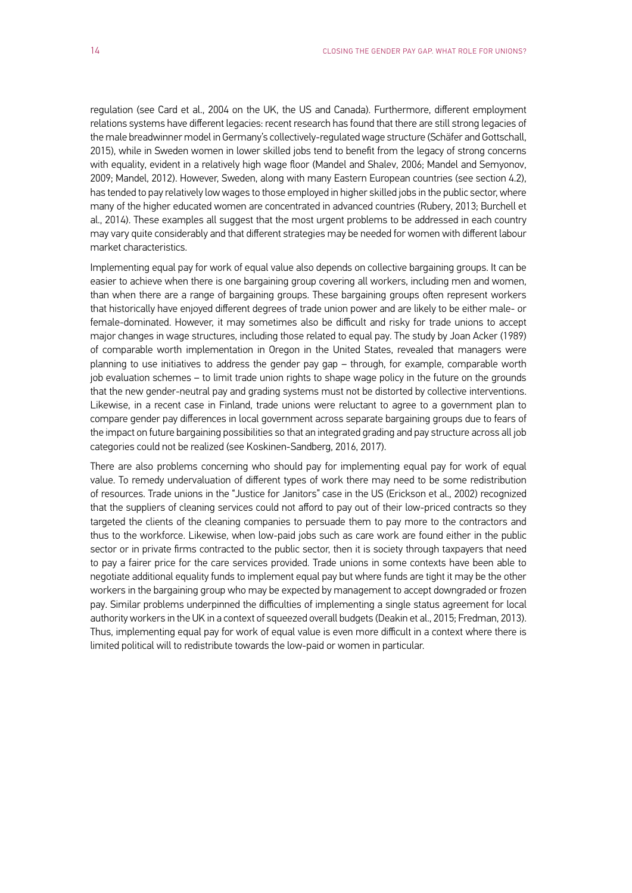regulation (see Card et al., 2004 on the UK, the US and Canada). Furthermore, different employment relations systems have different legacies: recent research has found that there are still strong legacies of the male breadwinner model in Germany's collectively-regulated wage structure (Schäfer and Gottschall, 2015), while in Sweden women in lower skilled jobs tend to benefit from the legacy of strong concerns with equality, evident in a relatively high wage floor (Mandel and Shalev, 2006; Mandel and Semyonov, 2009; Mandel, 2012). However, Sweden, along with many Eastern European countries (see section 4.2), has tended to pay relatively low wages to those employed in higher skilled jobs in the public sector, where many of the higher educated women are concentrated in advanced countries (Rubery, 2013; Burchell et al., 2014). These examples all suggest that the most urgent problems to be addressed in each country may vary quite considerably and that different strategies may be needed for women with different labour market characteristics.

Implementing equal pay for work of equal value also depends on collective bargaining groups. It can be easier to achieve when there is one bargaining group covering all workers, including men and women, than when there are a range of bargaining groups. These bargaining groups often represent workers that historically have enjoyed different degrees of trade union power and are likely to be either male- or female-dominated. However, it may sometimes also be difficult and risky for trade unions to accept major changes in wage structures, including those related to equal pay. The study by Joan Acker (1989) of comparable worth implementation in Oregon in the United States, revealed that managers were planning to use initiatives to address the gender pay gap – through, for example, comparable worth job evaluation schemes – to limit trade union rights to shape wage policy in the future on the grounds that the new gender-neutral pay and grading systems must not be distorted by collective interventions. Likewise, in a recent case in Finland, trade unions were reluctant to agree to a government plan to compare gender pay differences in local government across separate bargaining groups due to fears of the impact on future bargaining possibilities so that an integrated grading and pay structure across all job categories could not be realized (see Koskinen-Sandberg, 2016, 2017).

There are also problems concerning who should pay for implementing equal pay for work of equal value. To remedy undervaluation of different types of work there may need to be some redistribution of resources. Trade unions in the "Justice for Janitors" case in the US (Erickson et al., 2002) recognized that the suppliers of cleaning services could not afford to pay out of their low-priced contracts so they targeted the clients of the cleaning companies to persuade them to pay more to the contractors and thus to the workforce. Likewise, when low-paid jobs such as care work are found either in the public sector or in private firms contracted to the public sector, then it is society through taxpayers that need to pay a fairer price for the care services provided. Trade unions in some contexts have been able to negotiate additional equality funds to implement equal pay but where funds are tight it may be the other workers in the bargaining group who may be expected by management to accept downgraded or frozen pay. Similar problems underpinned the difficulties of implementing a single status agreement for local authority workers in the UK in a context of squeezed overall budgets (Deakin et al., 2015; Fredman, 2013). Thus, implementing equal pay for work of equal value is even more difficult in a context where there is limited political will to redistribute towards the low-paid or women in particular.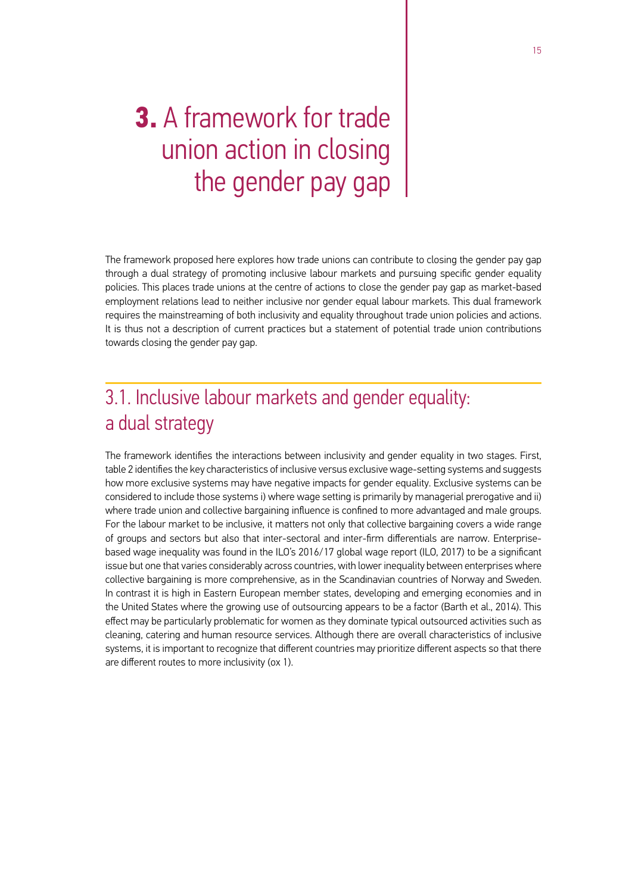## <span id="page-16-0"></span>**3.** A framework for trade union action in closing the gender pay gap

The framework proposed here explores how trade unions can contribute to closing the gender pay gap through a dual strategy of promoting inclusive labour markets and pursuing specific gender equality policies. This places trade unions at the centre of actions to close the gender pay gap as market-based employment relations lead to neither inclusive nor gender equal labour markets. This dual framework requires the mainstreaming of both inclusivity and equality throughout trade union policies and actions. It is thus not a description of current practices but a statement of potential trade union contributions towards closing the gender pay gap.

### 3.1. Inclusive labour markets and gender equality: a dual strategy

The framework identifies the interactions between inclusivity and gender equality in two stages. First, table 2 identifies the key characteristics of inclusive versus exclusive wage-setting systems and suggests how more exclusive systems may have negative impacts for gender equality. Exclusive systems can be considered to include those systems i) where wage setting is primarily by managerial prerogative and ii) where trade union and collective bargaining influence is confined to more advantaged and male groups. For the labour market to be inclusive, it matters not only that collective bargaining covers a wide range of groups and sectors but also that inter-sectoral and inter-firm differentials are narrow. Enterprisebased wage inequality was found in the ILO's 2016/17 global wage report (ILO, 2017) to be a significant issue but one that varies considerably across countries, with lower inequality between enterprises where collective bargaining is more comprehensive, as in the Scandinavian countries of Norway and Sweden. In contrast it is high in Eastern European member states, developing and emerging economies and in the United States where the growing use of outsourcing appears to be a factor (Barth et al., 2014). This effect may be particularly problematic for women as they dominate typical outsourced activities such as cleaning, catering and human resource services. Although there are overall characteristics of inclusive systems, it is important to recognize that different countries may prioritize different aspects so that there are different routes to more inclusivity (ox 1).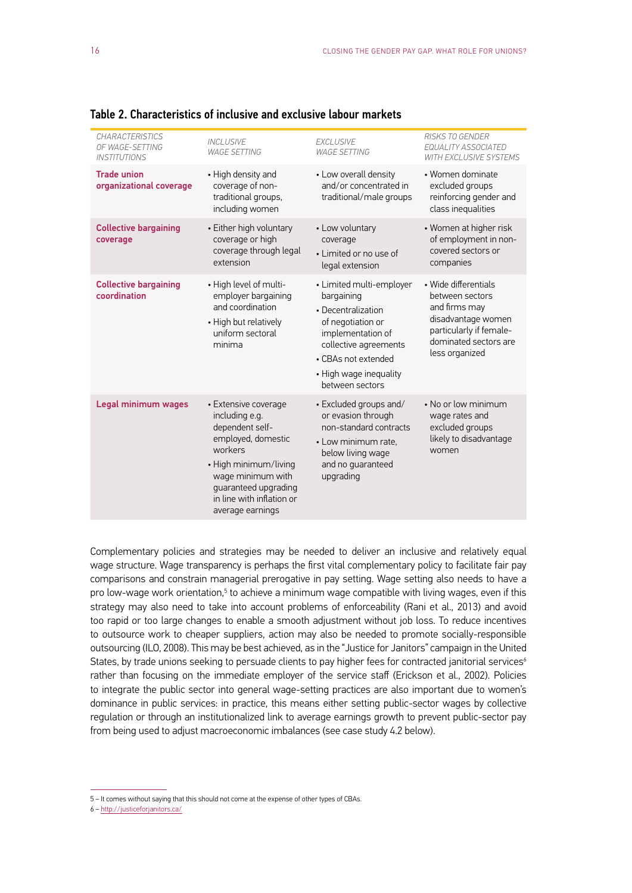| <b>CHARACTERISTICS</b><br>OF WAGE-SETTING<br><b>INSTITUTIONS</b> | <b>INCLUSIVE</b><br><b>WAGE SETTING</b>                                                                                                                                                                           | <b>EXCLUSIVE</b><br><b>WAGE SETTING</b>                                                                                                                                                             | <b>RISKS TO GENDER</b><br>EQUALITY ASSOCIATED<br><b>WITH EXCLUSIVE SYSTEMS</b>                                                                       |
|------------------------------------------------------------------|-------------------------------------------------------------------------------------------------------------------------------------------------------------------------------------------------------------------|-----------------------------------------------------------------------------------------------------------------------------------------------------------------------------------------------------|------------------------------------------------------------------------------------------------------------------------------------------------------|
| <b>Trade union</b><br>organizational coverage                    | • High density and<br>coverage of non-<br>traditional groups,<br>including women                                                                                                                                  | • Low overall density<br>and/or concentrated in<br>traditional/male groups                                                                                                                          | • Women dominate<br>excluded groups<br>reinforcing gender and<br>class inequalities                                                                  |
| <b>Collective bargaining</b><br>coverage                         | • Either high voluntary<br>coverage or high<br>coverage through legal<br>extension                                                                                                                                | • Low voluntary<br>coverage<br>• Limited or no use of<br>legal extension                                                                                                                            | • Women at higher risk<br>of employment in non-<br>covered sectors or<br>companies                                                                   |
| <b>Collective bargaining</b><br>coordination                     | • High level of multi-<br>employer bargaining<br>and coordination<br>• High but relatively<br>uniform sectoral<br>minima                                                                                          | • Limited multi-employer<br>bargaining<br>• Decentralization<br>of negotiation or<br>implementation of<br>collective agreements<br>• CBAs not extended<br>• High wage inequality<br>between sectors | • Wide differentials<br>between sectors<br>and firms may<br>disadvantage women<br>particularly if female-<br>dominated sectors are<br>less organized |
| Legal minimum wages                                              | • Extensive coverage<br>including e.g.<br>dependent self-<br>employed, domestic<br>workers<br>• High minimum/living<br>wage minimum with<br>guaranteed upgrading<br>in line with inflation or<br>average earnings | • Excluded groups and/<br>or evasion through<br>non-standard contracts<br>• Low minimum rate,<br>below living wage<br>and no guaranteed<br>upgrading                                                | • No or low minimum<br>wage rates and<br>excluded groups<br>likely to disadvantage<br>women                                                          |

Table 2. Characteristics of inclusive and exclusive labour markets

Complementary policies and strategies may be needed to deliver an inclusive and relatively equal wage structure. Wage transparency is perhaps the first vital complementary policy to facilitate fair pay comparisons and constrain managerial prerogative in pay setting. Wage setting also needs to have a pro low-wage work orientation,<sup>5</sup> to achieve a minimum wage compatible with living wages, even if this strategy may also need to take into account problems of enforceability (Rani et al., 2013) and avoid too rapid or too large changes to enable a smooth adjustment without job loss. To reduce incentives to outsource work to cheaper suppliers, action may also be needed to promote socially-responsible outsourcing (ILO, 2008). This may be best achieved, as in the "Justice for Janitors" campaign in the United States, by trade unions seeking to persuade clients to pay higher fees for contracted janitorial services<sup>6</sup> rather than focusing on the immediate employer of the service staff (Erickson et al., 2002). Policies to integrate the public sector into general wage-setting practices are also important due to women's dominance in public services: in practice, this means either setting public-sector wages by collective regulation or through an institutionalized link to average earnings growth to prevent public-sector pay from being used to adjust macroeconomic imbalances (see case study 4.2 below).

<sup>5 –</sup> It comes without saying that this should not come at the expense of other types of CBAs.

<sup>6 –</sup> http://justiceforjanitors.ca/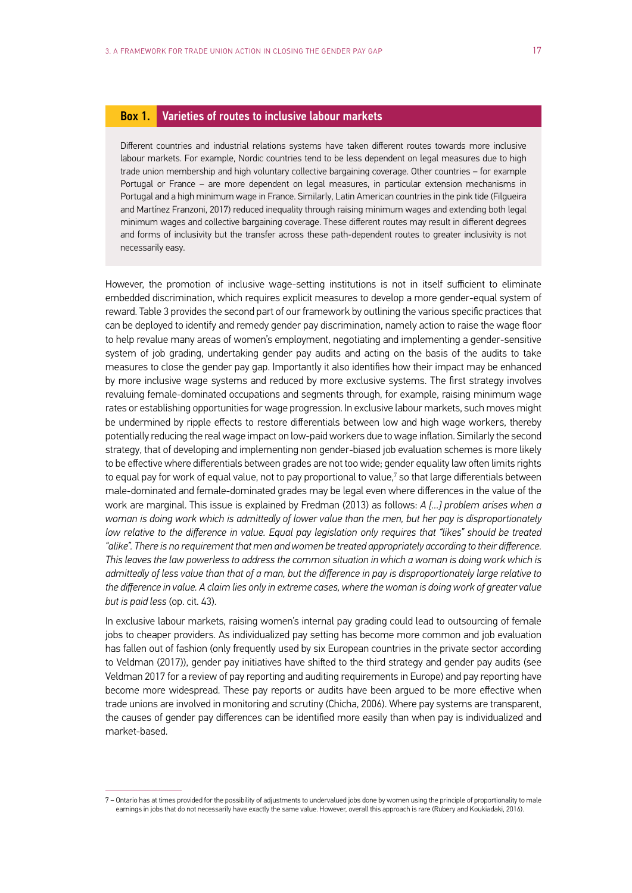#### Box 1. Varieties of routes to inclusive labour markets

Different countries and industrial relations systems have taken different routes towards more inclusive labour markets. For example, Nordic countries tend to be less dependent on legal measures due to high trade union membership and high voluntary collective bargaining coverage. Other countries – for example Portugal or France – are more dependent on legal measures, in particular extension mechanisms in Portugal and a high minimum wage in France. Similarly, Latin American countries in the pink tide (Filgueira and Martínez Franzoni, 2017) reduced inequality through raising minimum wages and extending both legal minimum wages and collective bargaining coverage. These different routes may result in different degrees and forms of inclusivity but the transfer across these path-dependent routes to greater inclusivity is not necessarily easy.

However, the promotion of inclusive wage-setting institutions is not in itself sufficient to eliminate embedded discrimination, which requires explicit measures to develop a more gender-equal system of reward. Table 3 provides the second part of our framework by outlining the various specific practices that can be deployed to identify and remedy gender pay discrimination, namely action to raise the wage floor to help revalue many areas of women's employment, negotiating and implementing a gender-sensitive system of job grading, undertaking gender pay audits and acting on the basis of the audits to take measures to close the gender pay gap. Importantly it also identifies how their impact may be enhanced by more inclusive wage systems and reduced by more exclusive systems. The first strategy involves revaluing female-dominated occupations and segments through, for example, raising minimum wage rates or establishing opportunities for wage progression. In exclusive labour markets, such moves might be undermined by ripple effects to restore differentials between low and high wage workers, thereby potentially reducing the real wage impact on low-paid workers due to wage inflation. Similarly the second strategy, that of developing and implementing non gender-biased job evaluation schemes is more likely to be effective where differentials between grades are not too wide; gender equality law often limits rights to equal pay for work of equal value, not to pay proportional to value,<sup>7</sup> so that large differentials between male-dominated and female-dominated grades may be legal even where differences in the value of the work are marginal. This issue is explained by Fredman (2013) as follows: *A […] problem arises when a woman is doing work which is admittedly of lower value than the men, but her pay is disproportionately low relative to the difference in value. Equal pay legislation only requires that "likes" should be treated "alike". There is no requirement that men and women be treated appropriately according to their difference. This leaves the law powerless to address the common situation in which a woman is doing work which is admittedly of less value than that of a man, but the difference in pay is disproportionately large relative to the difference in value. A claim lies only in extreme cases, where the woman is doing work of greater value but is paid less* (op. cit. 43).

In exclusive labour markets, raising women's internal pay grading could lead to outsourcing of female jobs to cheaper providers. As individualized pay setting has become more common and job evaluation has fallen out of fashion (only frequently used by six European countries in the private sector according to Veldman (2017)), gender pay initiatives have shifted to the third strategy and gender pay audits (see Veldman 2017 for a review of pay reporting and auditing requirements in Europe) and pay reporting have become more widespread. These pay reports or audits have been argued to be more effective when trade unions are involved in monitoring and scrutiny (Chicha, 2006). Where pay systems are transparent, the causes of gender pay differences can be identified more easily than when pay is individualized and market-based.

<sup>7 –</sup> Ontario has at times provided for the possibility of adjustments to undervalued jobs done by women using the principle of proportionality to male earnings in jobs that do not necessarily have exactly the same value. However, overall this approach is rare (Rubery and Koukiadaki, 2016).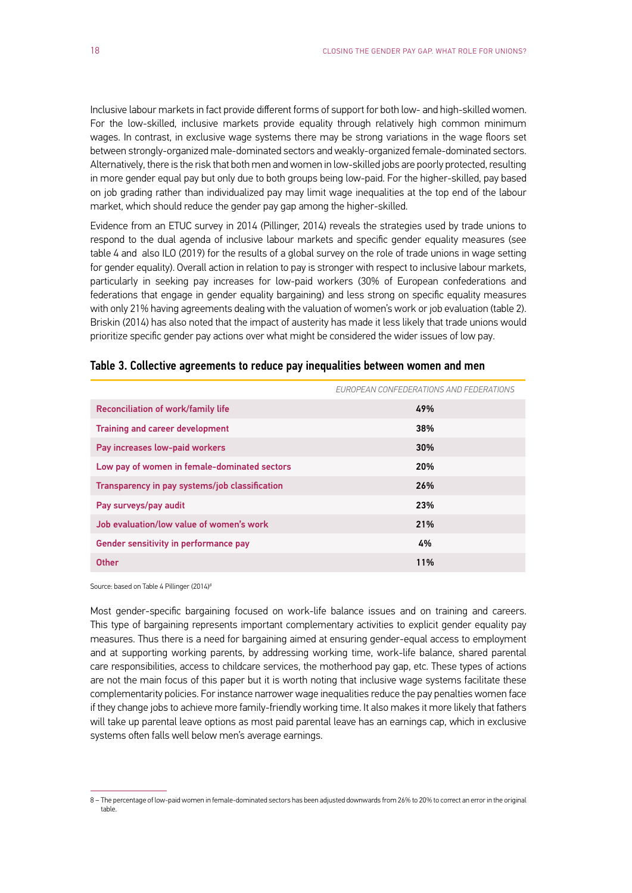Inclusive labour markets in fact provide different forms of support for both low- and high-skilled women. For the low-skilled, inclusive markets provide equality through relatively high common minimum wages. In contrast, in exclusive wage systems there may be strong variations in the wage floors set between strongly-organized male-dominated sectors and weakly-organized female-dominated sectors. Alternatively, there is the risk that both men and women in low-skilled jobs are poorly protected, resulting in more gender equal pay but only due to both groups being low-paid. For the higher-skilled, pay based on job grading rather than individualized pay may limit wage inequalities at the top end of the labour market, which should reduce the gender pay gap among the higher-skilled.

Evidence from an ETUC survey in 2014 (Pillinger, 2014) reveals the strategies used by trade unions to respond to the dual agenda of inclusive labour markets and specific gender equality measures (see table 4 and also ILO (2019) for the results of a global survey on the role of trade unions in wage setting for gender equality). Overall action in relation to pay is stronger with respect to inclusive labour markets, particularly in seeking pay increases for low-paid workers (30% of European confederations and federations that engage in gender equality bargaining) and less strong on specific equality measures with only 21% having agreements dealing with the valuation of women's work or job evaluation (table 2). Briskin (2014) has also noted that the impact of austerity has made it less likely that trade unions would prioritize specific gender pay actions over what might be considered the wider issues of low pay.

|                                                | EUROPEAN CONFEDERATIONS AND FEDERATIONS |
|------------------------------------------------|-----------------------------------------|
| <b>Reconciliation of work/family life</b>      | 49%                                     |
| <b>Training and career development</b>         | 38%                                     |
| Pay increases low-paid workers                 | 30%                                     |
| Low pay of women in female-dominated sectors   | <b>20%</b>                              |
| Transparency in pay systems/job classification | 26%                                     |
| Pay surveys/pay audit                          | 23%                                     |
| Job evaluation/low value of women's work       | 21%                                     |
| Gender sensitivity in performance pay          | 4%                                      |
| <b>Other</b>                                   | 11%                                     |

#### Table 3. Collective agreements to reduce pay inequalities between women and men

Source: based on Table 4 Pillinger (2014)*<sup>8</sup>*

Most gender-specific bargaining focused on work-life balance issues and on training and careers. This type of bargaining represents important complementary activities to explicit gender equality pay measures. Thus there is a need for bargaining aimed at ensuring gender-equal access to employment and at supporting working parents, by addressing working time, work-life balance, shared parental care responsibilities, access to childcare services, the motherhood pay gap, etc. These types of actions are not the main focus of this paper but it is worth noting that inclusive wage systems facilitate these complementarity policies. For instance narrower wage inequalities reduce the pay penalties women face if they change jobs to achieve more family-friendly working time. It also makes it more likely that fathers will take up parental leave options as most paid parental leave has an earnings cap, which in exclusive systems often falls well below men's average earnings.

<sup>8 –</sup> The percentage of low-paid women in female-dominated sectors has been adjusted downwards from 26% to 20% to correct an error in the original table.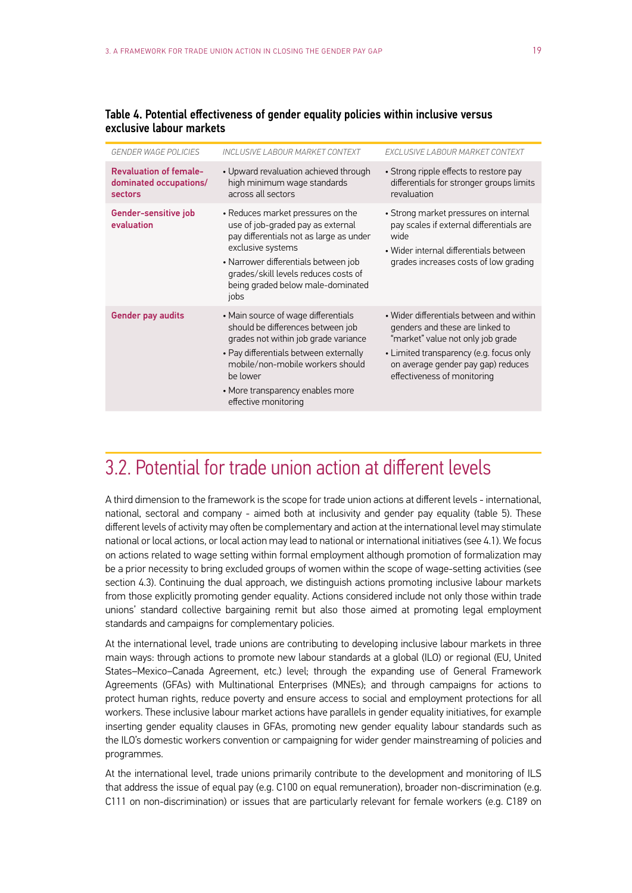|   | v |
|---|---|
| ۰ |   |
|   |   |
|   |   |
|   |   |
|   |   |

<span id="page-20-0"></span>

| Table 4. Potential effectiveness of gender equality policies within inclusive versus |  |  |  |
|--------------------------------------------------------------------------------------|--|--|--|
| exclusive labour markets                                                             |  |  |  |

| <b>GENDER WAGE POLICIES</b>                                        | INCLUSIVE LABOUR MARKET CONTEXT                                                                                                                                                                                                                                        | EXCLUSIVE LABOUR MARKET CONTEXT                                                                                                                                                                                                  |
|--------------------------------------------------------------------|------------------------------------------------------------------------------------------------------------------------------------------------------------------------------------------------------------------------------------------------------------------------|----------------------------------------------------------------------------------------------------------------------------------------------------------------------------------------------------------------------------------|
| <b>Revaluation of female-</b><br>dominated occupations/<br>sectors | • Upward revaluation achieved through<br>high minimum wage standards<br>across all sectors                                                                                                                                                                             | • Strong ripple effects to restore pay<br>differentials for stronger groups limits<br>revaluation                                                                                                                                |
| Gender-sensitive job<br>evaluation                                 | • Reduces market pressures on the<br>use of job-graded pay as external<br>pay differentials not as large as under<br>exclusive systems<br>• Narrower differentials between job<br>grades/skill levels reduces costs of<br>being graded below male-dominated<br>jobs    | • Strong market pressures on internal<br>pay scales if external differentials are<br>wide<br>• Wider internal differentials between<br>grades increases costs of low grading                                                     |
| <b>Gender pay audits</b>                                           | • Main source of wage differentials<br>should be differences between job<br>grades not within job grade variance<br>• Pay differentials between externally<br>mobile/non-mobile workers should<br>be lower<br>• More transparency enables more<br>effective monitoring | • Wider differentials between and within<br>genders and these are linked to<br>"market" value not only job grade<br>• Limited transparency (e.g. focus only<br>on average gender pay gap) reduces<br>effectiveness of monitoring |

### 3.2. Potential for trade union action at different levels

A third dimension to the framework is the scope for trade union actions at different levels - international, national, sectoral and company - aimed both at inclusivity and gender pay equality (table 5). These different levels of activity may often be complementary and action at the international level may stimulate national or local actions, or local action may lead to national or international initiatives (see 4.1). We focus on actions related to wage setting within formal employment although promotion of formalization may be a prior necessity to bring excluded groups of women within the scope of wage-setting activities (see section 4.3). Continuing the dual approach, we distinguish actions promoting inclusive labour markets from those explicitly promoting gender equality. Actions considered include not only those within trade unions' standard collective bargaining remit but also those aimed at promoting legal employment standards and campaigns for complementary policies.

At the international level, trade unions are contributing to developing inclusive labour markets in three main ways: through actions to promote new labour standards at a global (ILO) or regional (EU, United States–Mexico–Canada Agreement, etc.) level; through the expanding use of General Framework Agreements (GFAs) with Multinational Enterprises (MNEs); and through campaigns for actions to protect human rights, reduce poverty and ensure access to social and employment protections for all workers. These inclusive labour market actions have parallels in gender equality initiatives, for example inserting gender equality clauses in GFAs, promoting new gender equality labour standards such as the ILO's domestic workers convention or campaigning for wider gender mainstreaming of policies and programmes.

At the international level, trade unions primarily contribute to the development and monitoring of ILS that address the issue of equal pay (e.g. C100 on equal remuneration), broader non-discrimination (e.g. C111 on non-discrimination) or issues that are particularly relevant for female workers (e.g. C189 on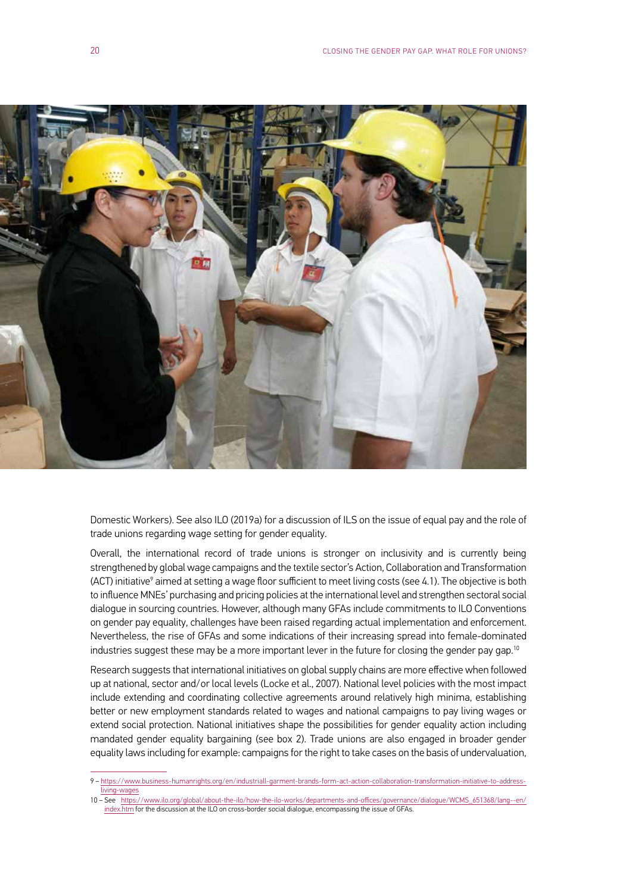

Domestic Workers). See also ILO (2019a) for a discussion of ILS on the issue of equal pay and the role of trade unions regarding wage setting for gender equality.

Overall, the international record of trade unions is stronger on inclusivity and is currently being strengthened by global wage campaigns and the textile sector's Action, Collaboration and Transformation (ACT) initiative<sup>9</sup> aimed at setting a wage floor sufficient to meet living costs (see 4.1). The objective is both to influence MNEs' purchasing and pricing policies at the international level and strengthen sectoral social dialogue in sourcing countries. However, although many GFAs include commitments to ILO Conventions on gender pay equality, challenges have been raised regarding actual implementation and enforcement. Nevertheless, the rise of GFAs and some indications of their increasing spread into female-dominated industries suggest these may be a more important lever in the future for closing the gender pay gap.<sup>10</sup>

Research suggests that international initiatives on global supply chains are more effective when followed up at national, sector and/or local levels (Locke et al., 2007). National level policies with the most impact include extending and coordinating collective agreements around relatively high minima, establishing better or new employment standards related to wages and national campaigns to pay living wages or extend social protection. National initiatives shape the possibilities for gender equality action including mandated gender equality bargaining (see box 2). Trade unions are also engaged in broader gender equality laws including for example: campaigns for the right to take cases on the basis of undervaluation,

<sup>9 –</sup> https://www.business-humanrights.org/en/industriall-garment-brands-form-act-action-collaboration-transformation-initiative-to-addressliving-wages

<sup>10 –</sup> See https://www.ilo.org/global/about-the-ilo/how-the-ilo-works/departments-and-offices/governance/dialogue/WCMS\_651368/lang--en/ index.htm for the discussion at the ILO on cross-border social dialogue, encompassing the issue of GFAs.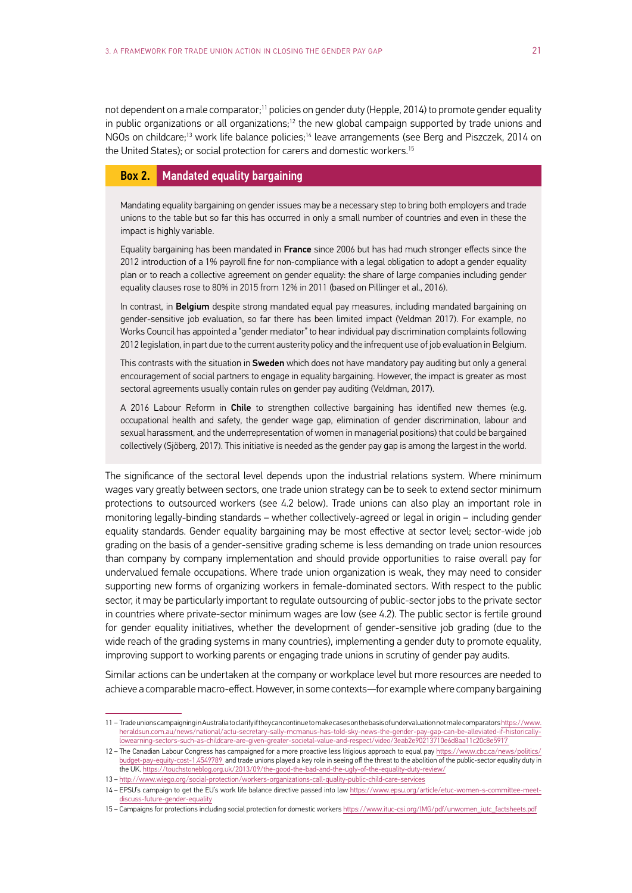not dependent on a male comparator;<sup>11</sup> policies on gender duty (Hepple, 2014) to promote gender equality in public organizations or all organizations;<sup>12</sup> the new global campaign supported by trade unions and NGOs on childcare;<sup>13</sup> work life balance policies;<sup>14</sup> leave arrangements (see Berg and Piszczek, 2014 on the United States); or social protection for carers and domestic workers.<sup>15</sup>

#### Box 2. Mandated equality bargaining

Mandating equality bargaining on gender issues may be a necessary step to bring both employers and trade unions to the table but so far this has occurred in only a small number of countries and even in these the impact is highly variable.

Equality bargaining has been mandated in France since 2006 but has had much stronger effects since the 2012 introduction of a 1% payroll fine for non-compliance with a legal obligation to adopt a gender equality plan or to reach a collective agreement on gender equality: the share of large companies including gender equality clauses rose to 80% in 2015 from 12% in 2011 (based on Pillinger et al., 2016).

In contrast, in Belgium despite strong mandated equal pay measures, including mandated bargaining on gender-sensitive job evaluation, so far there has been limited impact (Veldman 2017). For example, no Works Council has appointed a "gender mediator" to hear individual pay discrimination complaints following 2012 legislation, in part due to the current austerity policy and the infrequent use of job evaluation in Belgium.

This contrasts with the situation in **Sweden** which does not have mandatory pay auditing but only a general encouragement of social partners to engage in equality bargaining. However, the impact is greater as most sectoral agreements usually contain rules on gender pay auditing (Veldman, 2017).

A 2016 Labour Reform in Chile to strengthen collective bargaining has identified new themes (e.g. occupational health and safety, the gender wage gap, elimination of gender discrimination, labour and sexual harassment, and the underrepresentation of women in managerial positions) that could be bargained collectively (Sjöberg, 2017). This initiative is needed as the gender pay gap is among the largest in the world.

The significance of the sectoral level depends upon the industrial relations system. Where minimum wages vary greatly between sectors, one trade union strategy can be to seek to extend sector minimum protections to outsourced workers (see 4.2 below). Trade unions can also play an important role in monitoring legally-binding standards – whether collectively-agreed or legal in origin – including gender equality standards. Gender equality bargaining may be most effective at sector level; sector-wide job grading on the basis of a gender-sensitive grading scheme is less demanding on trade union resources than company by company implementation and should provide opportunities to raise overall pay for undervalued female occupations. Where trade union organization is weak, they may need to consider supporting new forms of organizing workers in female-dominated sectors. With respect to the public sector, it may be particularly important to regulate outsourcing of public-sector jobs to the private sector in countries where private-sector minimum wages are low (see 4.2). The public sector is fertile ground for gender equality initiatives, whether the development of gender-sensitive job grading (due to the wide reach of the grading systems in many countries), implementing a gender duty to promote equality, improving support to working parents or engaging trade unions in scrutiny of gender pay audits.

Similar actions can be undertaken at the company or workplace level but more resources are needed to achieve a comparable macro-effect. However, in some contexts—for example where company bargaining

<sup>11 –</sup> Trade unions campaigning in Australia to clarify if they can continue to make cases on the basis of undervaluation not male comparators https://www. heraldsun.com.au/news/national/actu-secretary-sally-mcmanus-has-told-sky-news-the-gender-pay-gap-can-be-alleviated-if-historicallylowearning-sectors-such-as-childcare-are-given-greater-societal-value-and-respect/video/3eab2e90213710e6d8aa11c20c8e5917

<sup>12 –</sup> The Canadian Labour Congress has campaigned for a more proactive less litigious approach to equal pay https://www.cbc.ca/news/politics/ budget-pay-equity-cost-1.4549789 and trade unions played a key role in seeing off the threat to the abolition of the public-sector equality duty in the UK. https://touchstoneblog.org.uk/2013/09/the-good-the-bad-and-the-ugly-of-the-equality-duty-review/

<sup>13 –</sup> http://www.wiego.org/social-protection/workers-organizations-call-quality-public-child-care-services

<sup>14 –</sup> EPSU's campaign to get the EU's work life balance directive passed into law https://www.epsu.org/article/etuc-women-s-committee-meetdiscuss-future-gender-equality

<sup>15 –</sup> Campaigns for protections including social protection for domestic workers https://www.ituc-csi.org/IMG/pdf/unwomen\_iutc\_factsheets.pdf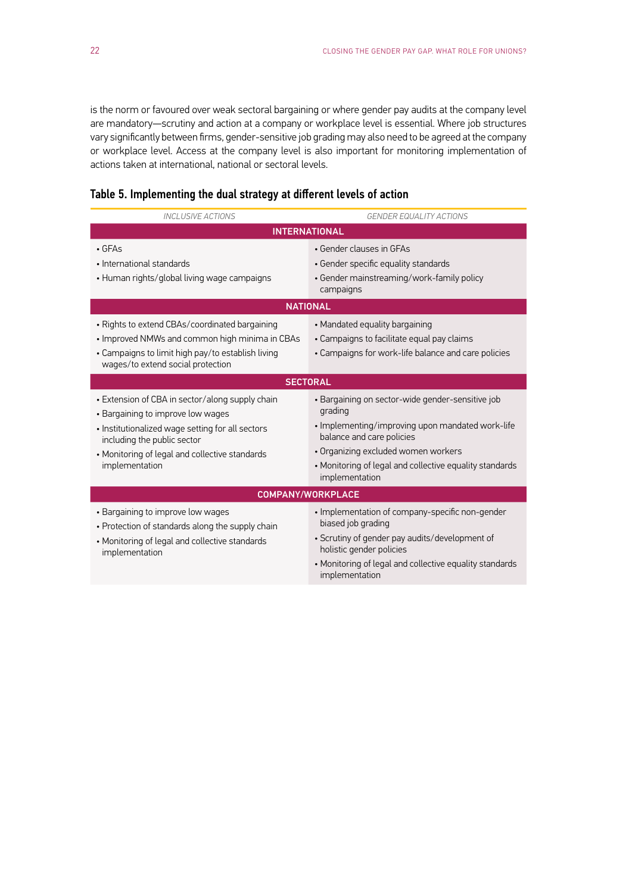is the norm or favoured over weak sectoral bargaining or where gender pay audits at the company level are mandatory—scrutiny and action at a company or workplace level is essential. Where job structures vary significantly between firms, gender-sensitive job grading may also need to be agreed at the company or workplace level. Access at the company level is also important for monitoring implementation of actions taken at international, national or sectoral levels.

| <b>INCLUSIVE ACTIONS</b>                                                                                                                                                                                                                    | <b>GENDER EQUALITY ACTIONS</b>                                                                                                                                                                                                                                   |  |  |
|---------------------------------------------------------------------------------------------------------------------------------------------------------------------------------------------------------------------------------------------|------------------------------------------------------------------------------------------------------------------------------------------------------------------------------------------------------------------------------------------------------------------|--|--|
| <b>INTERNATIONAL</b>                                                                                                                                                                                                                        |                                                                                                                                                                                                                                                                  |  |  |
| $\cdot$ GFAs<br>• International standards<br>• Human rights/global living wage campaigns                                                                                                                                                    | • Gender clauses in GFAs<br>• Gender specific equality standards<br>• Gender mainstreaming/work-family policy<br>campaigns<br><b>NATIONAL</b>                                                                                                                    |  |  |
| • Rights to extend CBAs/coordinated bargaining<br>• Improved NMWs and common high minima in CBAs<br>• Campaigns to limit high pay/to establish living<br>wages/to extend social protection                                                  | • Mandated equality bargaining<br>• Campaigns to facilitate equal pay claims<br>• Campaigns for work-life balance and care policies                                                                                                                              |  |  |
| <b>SECTORAL</b>                                                                                                                                                                                                                             |                                                                                                                                                                                                                                                                  |  |  |
| • Extension of CBA in sector/along supply chain<br>• Bargaining to improve low wages<br>• Institutionalized wage setting for all sectors<br>including the public sector<br>• Monitoring of legal and collective standards<br>implementation | · Bargaining on sector-wide gender-sensitive job<br>grading<br>• Implementing/improving upon mandated work-life<br>balance and care policies<br>• Organizing excluded women workers<br>• Monitoring of legal and collective equality standards<br>implementation |  |  |
| <b>COMPANY/WORKPLACE</b>                                                                                                                                                                                                                    |                                                                                                                                                                                                                                                                  |  |  |
| • Bargaining to improve low wages<br>• Protection of standards along the supply chain<br>• Monitoring of legal and collective standards<br>implementation                                                                                   | • Implementation of company-specific non-gender<br>biased job grading<br>• Scrutiny of gender pay audits/development of<br>holistic gender policies<br>• Monitoring of legal and collective equality standards<br>implementation                                 |  |  |

#### Table 5. Implementing the dual strategy at different levels of action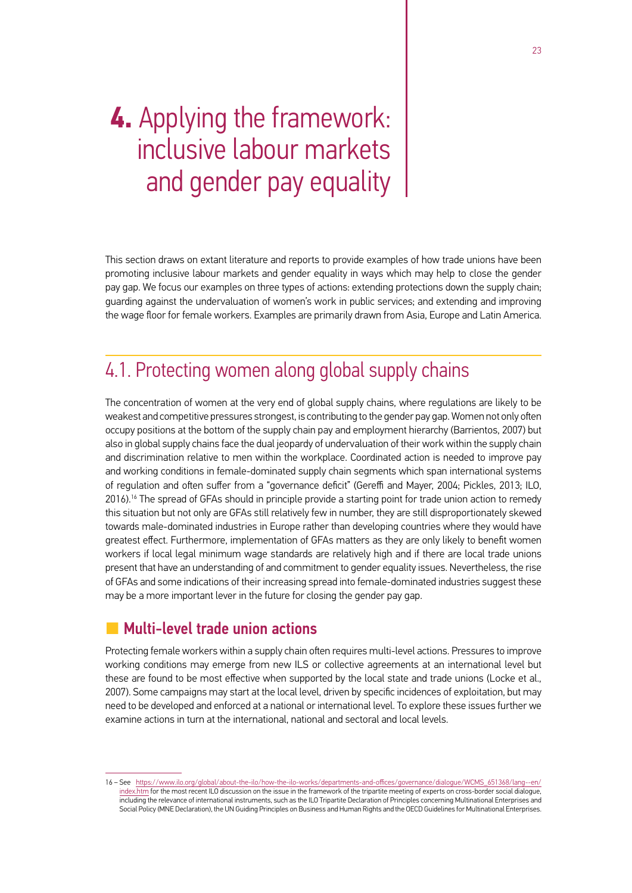## <span id="page-24-0"></span>**4.** Applying the framework: inclusive labour markets and gender pay equality

This section draws on extant literature and reports to provide examples of how trade unions have been promoting inclusive labour markets and gender equality in ways which may help to close the gender pay gap. We focus our examples on three types of actions: extending protections down the supply chain; guarding against the undervaluation of women's work in public services; and extending and improving the wage floor for female workers. Examples are primarily drawn from Asia, Europe and Latin America.

### 4.1. Protecting women along global supply chains

The concentration of women at the very end of global supply chains, where regulations are likely to be weakest and competitive pressures strongest, is contributing to the gender pay gap. Women not only often occupy positions at the bottom of the supply chain pay and employment hierarchy (Barrientos, 2007) but also in global supply chains face the dual jeopardy of undervaluation of their work within the supply chain and discrimination relative to men within the workplace. Coordinated action is needed to improve pay and working conditions in female-dominated supply chain segments which span international systems of regulation and often suffer from a "governance deficit" (Gereffi and Mayer, 2004; Pickles, 2013; ILO, 2016).16 The spread of GFAs should in principle provide a starting point for trade union action to remedy this situation but not only are GFAs still relatively few in number, they are still disproportionately skewed towards male-dominated industries in Europe rather than developing countries where they would have greatest effect. Furthermore, implementation of GFAs matters as they are only likely to benefit women workers if local legal minimum wage standards are relatively high and if there are local trade unions present that have an understanding of and commitment to gender equality issues. Nevertheless, the rise of GFAs and some indications of their increasing spread into female-dominated industries suggest these may be a more important lever in the future for closing the gender pay gap.

#### **L** Multi-level trade union actions

Protecting female workers within a supply chain often requires multi-level actions. Pressures to improve working conditions may emerge from new ILS or collective agreements at an international level but these are found to be most effective when supported by the local state and trade unions (Locke et al., 2007). Some campaigns may start at the local level, driven by specific incidences of exploitation, but may need to be developed and enforced at a national or international level. To explore these issues further we examine actions in turn at the international, national and sectoral and local levels.

<sup>16 –</sup> See [https://www.ilo.org/global/about-the-ilo/how-the-ilo-works/departments-and-offices/governance/dialogue/WCMS\\_651368/lang--en/](https://www.ilo.org/global/about-the-ilo/how-the-ilo-works/departments-and-offices/governance/dialogue/WCMS_651368/lang--en/index.htm) [index.htm](https://www.ilo.org/global/about-the-ilo/how-the-ilo-works/departments-and-offices/governance/dialogue/WCMS_651368/lang--en/index.htm) for the most recent ILO discussion on the issue in the framework of the tripartite meeting of experts on cross-border social dialogue, including the relevance of international instruments, such as the ILO Tripartite Declaration of Principles concerning Multinational Enterprises and Social Policy (MNE Declaration), the UN Guiding Principles on Business and Human Rights and the OECD Guidelines for Multinational Enterprises.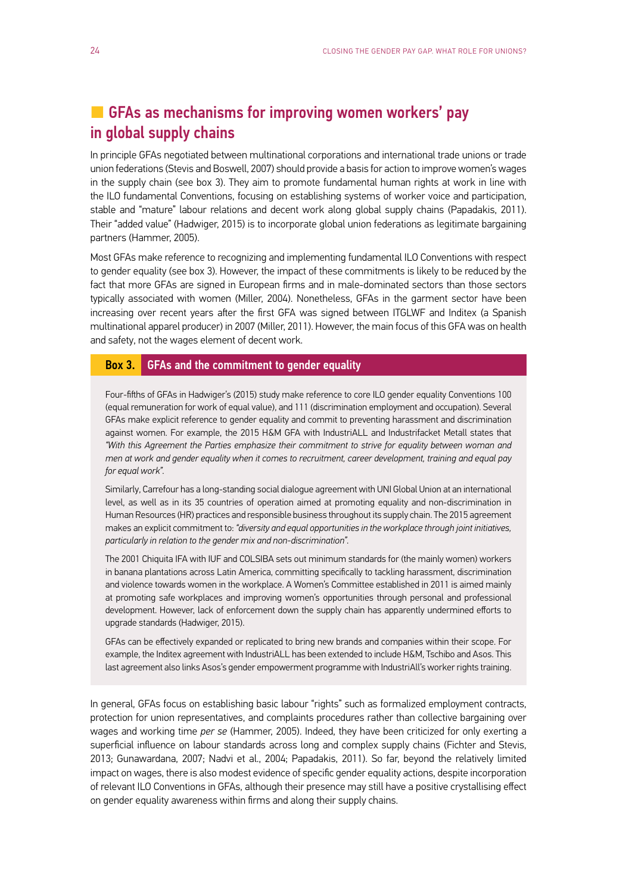#### <span id="page-25-0"></span>**L** GFAs as mechanisms for improving women workers' pay in global supply chains

In principle GFAs negotiated between multinational corporations and international trade unions or trade union federations (Stevis and Boswell, 2007) should provide a basis for action to improve women's wages in the supply chain (see box 3). They aim to promote fundamental human rights at work in line with the ILO fundamental Conventions, focusing on establishing systems of worker voice and participation, stable and "mature" labour relations and decent work along global supply chains (Papadakis, 2011). Their "added value" (Hadwiger, 2015) is to incorporate global union federations as legitimate bargaining partners (Hammer, 2005).

Most GFAs make reference to recognizing and implementing fundamental ILO Conventions with respect to gender equality (see box 3). However, the impact of these commitments is likely to be reduced by the fact that more GFAs are signed in European firms and in male-dominated sectors than those sectors typically associated with women (Miller, 2004). Nonetheless, GFAs in the garment sector have been increasing over recent years after the first GFA was signed between ITGLWF and Inditex (a Spanish multinational apparel producer) in 2007 (Miller, 2011). However, the main focus of this GFA was on health and safety, not the wages element of decent work.

#### Box 3. GFAs and the commitment to gender equality

Four-fifths of GFAs in Hadwiger's (2015) study make reference to core ILO gender equality Conventions 100 (equal remuneration for work of equal value), and 111 (discrimination employment and occupation). Several GFAs make explicit reference to gender equality and commit to preventing harassment and discrimination against women. For example, the 2015 H&M GFA with IndustriALL and Industrifacket Metall states that *"With this Agreement the Parties emphasize their commitment to strive for equality between woman and men at work and gender equality when it comes to recruitment, career development, training and equal pay for equal work"*.

Similarly, Carrefour has a long-standing social dialogue agreement with UNI Global Union at an international level, as well as in its 35 countries of operation aimed at promoting equality and non-discrimination in Human Resources (HR) practices and responsible business throughout its supply chain. The 2015 agreement makes an explicit commitment to: *"diversity and equal opportunities in the workplace through joint initiatives, particularly in relation to the gender mix and non-discrimination"*.

The 2001 Chiquita IFA with IUF and COLSIBA sets out minimum standards for (the mainly women) workers in banana plantations across Latin America, committing specifically to tackling harassment, discrimination and violence towards women in the workplace. A Women's Committee established in 2011 is aimed mainly at promoting safe workplaces and improving women's opportunities through personal and professional development. However, lack of enforcement down the supply chain has apparently undermined efforts to upgrade standards (Hadwiger, 2015).

GFAs can be effectively expanded or replicated to bring new brands and companies within their scope. For example, the Inditex agreement with IndustriALL has been extended to include H&M, Tschibo and Asos. This last agreement also links Asos's gender empowerment programme with IndustriAll's worker rights training.

In general, GFAs focus on establishing basic labour "rights" such as formalized employment contracts, protection for union representatives, and complaints procedures rather than collective bargaining over wages and working time *per se* (Hammer, 2005). Indeed, they have been criticized for only exerting a superficial influence on labour standards across long and complex supply chains (Fichter and Stevis, 2013; Gunawardana, 2007; Nadvi et al., 2004; Papadakis, 2011). So far, beyond the relatively limited impact on wages, there is also modest evidence of specific gender equality actions, despite incorporation of relevant ILO Conventions in GFAs, although their presence may still have a positive crystallising effect on gender equality awareness within firms and along their supply chains.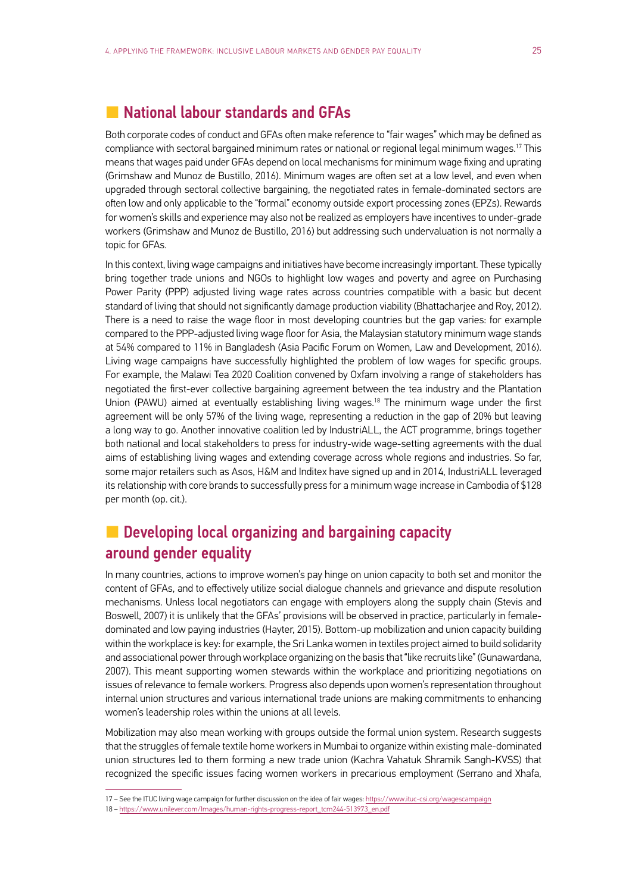#### <span id="page-26-0"></span>**L** National labour standards and GFAs

Both corporate codes of conduct and GFAs often make reference to "fair wages" which may be defined as compliance with sectoral bargained minimum rates or national or regional legal minimum wages.17 This means that wages paid under GFAs depend on local mechanisms for minimum wage fixing and uprating (Grimshaw and Munoz de Bustillo, 2016). Minimum wages are often set at a low level, and even when upgraded through sectoral collective bargaining, the negotiated rates in female-dominated sectors are often low and only applicable to the "formal" economy outside export processing zones (EPZs). Rewards for women's skills and experience may also not be realized as employers have incentives to under-grade workers (Grimshaw and Munoz de Bustillo, 2016) but addressing such undervaluation is not normally a topic for GFAs.

In this context, living wage campaigns and initiatives have become increasingly important. These typically bring together trade unions and NGOs to highlight low wages and poverty and agree on Purchasing Power Parity (PPP) adjusted living wage rates across countries compatible with a basic but decent standard of living that should not significantly damage production viability (Bhattacharjee and Roy, 2012). There is a need to raise the wage floor in most developing countries but the gap varies: for example compared to the PPP-adjusted living wage floor for Asia, the Malaysian statutory minimum wage stands at 54% compared to 11% in Bangladesh (Asia Pacific Forum on Women, Law and Development, 2016). Living wage campaigns have successfully highlighted the problem of low wages for specific groups. For example, the Malawi Tea 2020 Coalition convened by Oxfam involving a range of stakeholders has negotiated the first-ever collective bargaining agreement between the tea industry and the Plantation Union (PAWU) aimed at eventually establishing living wages.<sup>18</sup> The minimum wage under the first agreement will be only 57% of the living wage, representing a reduction in the gap of 20% but leaving a long way to go. Another innovative coalition led by IndustriALL, the ACT programme, brings together both national and local stakeholders to press for industry-wide wage-setting agreements with the dual aims of establishing living wages and extending coverage across whole regions and industries. So far, some major retailers such as Asos, H&M and Inditex have signed up and in 2014, IndustriALL leveraged its relationship with core brands to successfully press for a minimum wage increase in Cambodia of \$128 per month (op. cit.).

#### **L** Developing local organizing and bargaining capacity around gender equality

In many countries, actions to improve women's pay hinge on union capacity to both set and monitor the content of GFAs, and to effectively utilize social dialogue channels and grievance and dispute resolution mechanisms. Unless local negotiators can engage with employers along the supply chain (Stevis and Boswell, 2007) it is unlikely that the GFAs' provisions will be observed in practice, particularly in femaledominated and low paying industries (Hayter, 2015). Bottom-up mobilization and union capacity building within the workplace is key: for example, the Sri Lanka women in textiles project aimed to build solidarity and associational power through workplace organizing on the basis that "like recruits like" (Gunawardana, 2007). This meant supporting women stewards within the workplace and prioritizing negotiations on issues of relevance to female workers. Progress also depends upon women's representation throughout internal union structures and various international trade unions are making commitments to enhancing women's leadership roles within the unions at all levels.

Mobilization may also mean working with groups outside the formal union system. Research suggests that the struggles of female textile home workers in Mumbai to organize within existing male-dominated union structures led to them forming a new trade union (Kachra Vahatuk Shramik Sangh-KVSS) that recognized the specific issues facing women workers in precarious employment (Serrano and Xhafa,

<sup>17 –</sup> See the ITUC living wage campaign for further discussion on the idea of fair wages: https://www.ituc-csi.org/wagescampaign

<sup>18 –</sup> https://www.unilever.com/Images/human-rights-progress-report\_tcm244-513973\_en.pdf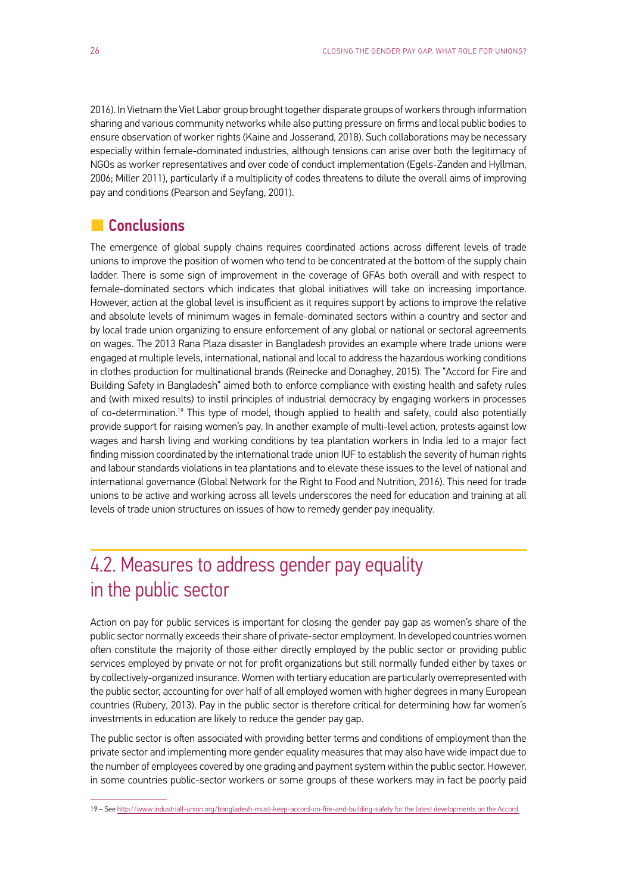<span id="page-27-0"></span>2016). In Vietnam the Viet Labor group brought together disparate groups of workers through information sharing and various community networks while also putting pressure on firms and local public bodies to ensure observation of worker rights (Kaine and Josserand, 2018). Such collaborations may be necessary especially within female-dominated industries, although tensions can arise over both the legitimacy of NGOs as worker representatives and over code of conduct implementation (Egels-Zanden and Hyllman, 2006; Miller 2011), particularly if a multiplicity of codes threatens to dilute the overall aims of improving pay and conditions (Pearson and Seyfang, 2001).

#### **L** Conclusions

The emergence of global supply chains requires coordinated actions across different levels of trade unions to improve the position of women who tend to be concentrated at the bottom of the supply chain ladder. There is some sign of improvement in the coverage of GFAs both overall and with respect to female-dominated sectors which indicates that global initiatives will take on increasing importance. However, action at the global level is insufficient as it requires support by actions to improve the relative and absolute levels of minimum wages in female-dominated sectors within a country and sector and by local trade union organizing to ensure enforcement of any global or national or sectoral agreements on wages. The 2013 Rana Plaza disaster in Bangladesh provides an example where trade unions were engaged at multiple levels, international, national and local to address the hazardous working conditions in clothes production for multinational brands (Reinecke and Donaghey, 2015). The "Accord for Fire and Building Safety in Bangladesh" aimed both to enforce compliance with existing health and safety rules and (with mixed results) to instil principles of industrial democracy by engaging workers in processes of co-determination.<sup>19</sup> This type of model, though applied to health and safety, could also potentially provide support for raising women's pay. In another example of multi-level action, protests against low wages and harsh living and working conditions by tea plantation workers in India led to a major fact finding mission coordinated by the international trade union IUF to establish the severity of human rights and labour standards violations in tea plantations and to elevate these issues to the level of national and international governance (Global Network for the Right to Food and Nutrition, 2016). This need for trade unions to be active and working across all levels underscores the need for education and training at all levels of trade union structures on issues of how to remedy gender pay inequality.

### 4.2. Measures to address gender pay equality in the public sector

Action on pay for public services is important for closing the gender pay gap as women's share of the public sector normally exceeds their share of private-sector employment. In developed countries women often constitute the majority of those either directly employed by the public sector or providing public services employed by private or not for profit organizations but still normally funded either by taxes or by collectively-organized insurance. Women with tertiary education are particularly overrepresented with the public sector, accounting for over half of all employed women with higher degrees in many European countries (Rubery, 2013). Pay in the public sector is therefore critical for determining how far women's investments in education are likely to reduce the gender pay gap.

The public sector is often associated with providing better terms and conditions of employment than the private sector and implementing more gender equality measures that may also have wide impact due to the number of employees covered by one grading and payment system within the public sector. However, in some countries public-sector workers or some groups of these workers may in fact be poorly paid

<sup>19 –</sup> See http://www.industriall-union.org/bangladesh-must-keep-accord-on-fire-and-building-safety for the latest developments on the Accord.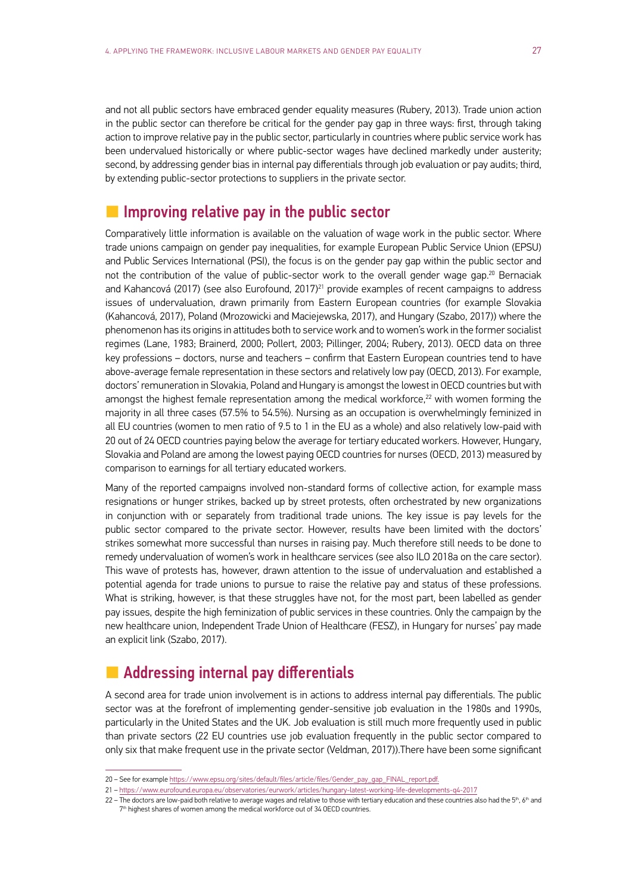and not all public sectors have embraced gender equality measures (Rubery, 2013). Trade union action in the public sector can therefore be critical for the gender pay gap in three ways: first, through taking action to improve relative pay in the public sector, particularly in countries where public service work has been undervalued historically or where public-sector wages have declined markedly under austerity; second, by addressing gender bias in internal pay differentials through job evaluation or pay audits; third, by extending public-sector protections to suppliers in the private sector.

#### $\blacksquare$  Improving relative pay in the public sector

Comparatively little information is available on the valuation of wage work in the public sector. Where trade unions campaign on gender pay inequalities, for example European Public Service Union (EPSU) and Public Services International (PSI), the focus is on the gender pay gap within the public sector and not the contribution of the value of public-sector work to the overall gender wage gap.<sup>20</sup> Bernaciak and Kahancová (2017) (see also Eurofound, 2017)<sup>21</sup> provide examples of recent campaigns to address issues of undervaluation, drawn primarily from Eastern European countries (for example Slovakia (Kahancová, 2017), Poland (Mrozowicki and Maciejewska, 2017), and Hungary (Szabo, 2017)) where the phenomenon has its origins in attitudes both to service work and to women's work in the former socialist regimes (Lane, 1983; Brainerd, 2000; Pollert, 2003; Pillinger, 2004; Rubery, 2013). OECD data on three key professions – doctors, nurse and teachers – confirm that Eastern European countries tend to have above-average female representation in these sectors and relatively low pay (OECD, 2013). For example, doctors' remuneration in Slovakia, Poland and Hungary is amongst the lowest in OECD countries but with amongst the highest female representation among the medical workforce,<sup>22</sup> with women forming the majority in all three cases (57.5% to 54.5%). Nursing as an occupation is overwhelmingly feminized in all EU countries (women to men ratio of 9.5 to 1 in the EU as a whole) and also relatively low-paid with 20 out of 24 OECD countries paying below the average for tertiary educated workers. However, Hungary, Slovakia and Poland are among the lowest paying OECD countries for nurses (OECD, 2013) measured by comparison to earnings for all tertiary educated workers.

Many of the reported campaigns involved non-standard forms of collective action, for example mass resignations or hunger strikes, backed up by street protests, often orchestrated by new organizations in conjunction with or separately from traditional trade unions. The key issue is pay levels for the public sector compared to the private sector. However, results have been limited with the doctors' strikes somewhat more successful than nurses in raising pay. Much therefore still needs to be done to remedy undervaluation of women's work in healthcare services (see also ILO 2018a on the care sector). This wave of protests has, however, drawn attention to the issue of undervaluation and established a potential agenda for trade unions to pursue to raise the relative pay and status of these professions. What is striking, however, is that these struggles have not, for the most part, been labelled as gender pay issues, despite the high feminization of public services in these countries. Only the campaign by the new healthcare union, Independent Trade Union of Healthcare (FESZ), in Hungary for nurses' pay made an explicit link (Szabo, 2017).

#### **L** Addressing internal pay differentials

A second area for trade union involvement is in actions to address internal pay differentials. The public sector was at the forefront of implementing gender-sensitive job evaluation in the 1980s and 1990s, particularly in the United States and the UK. Job evaluation is still much more frequently used in public than private sectors (22 EU countries use job evaluation frequently in the public sector compared to only six that make frequent use in the private sector (Veldman, 2017)).There have been some significant

<sup>20 –</sup> See for example https://www.epsu.org/sites/default/files/article/files/Gender\_pay\_gap\_FINAL\_report.pdf.

<sup>21 –</sup> https://www.eurofound.europa.eu/observatories/eurwork/articles/hungary-latest-working-life-developments-q4-2017

<sup>22 –</sup> The doctors are low-paid both relative to average wages and relative to those with tertiary education and these countries also had the 5<sup>th</sup>, 6<sup>th</sup> and 7<sup>th</sup> highest shares of women among the medical workforce out of 34 OECD countries.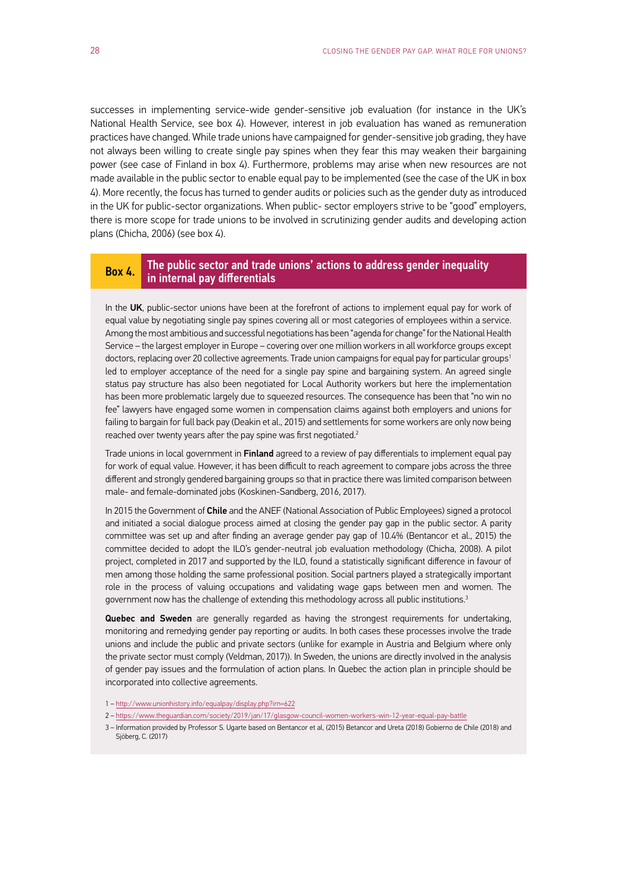successes in implementing service-wide gender-sensitive job evaluation (for instance in the UK's National Health Service, see box 4). However, interest in job evaluation has waned as remuneration practices have changed. While trade unions have campaigned for gender-sensitive job grading, they have not always been willing to create single pay spines when they fear this may weaken their bargaining power (see case of Finland in box 4). Furthermore, problems may arise when new resources are not made available in the public sector to enable equal pay to be implemented (see the case of the UK in box 4). More recently, the focus has turned to gender audits or policies such as the gender duty as introduced in the UK for public-sector organizations. When public- sector employers strive to be "good" employers, there is more scope for trade unions to be involved in scrutinizing gender audits and developing action plans (Chicha, 2006) (see box 4).

#### Box 4. The public sector and trade unions' actions to address gender inequality in internal pay differentials

In the UK, public-sector unions have been at the forefront of actions to implement equal pay for work of equal value by negotiating single pay spines covering all or most categories of employees within a service. Among the most ambitious and successful negotiations has been "agenda for change" for the National Health Service – the largest employer in Europe – covering over one million workers in all workforce groups except doctors, replacing over 20 collective agreements. Trade union campaigns for equal pay for particular groups<sup>1</sup> led to employer acceptance of the need for a single pay spine and bargaining system. An agreed single status pay structure has also been negotiated for Local Authority workers but here the implementation has been more problematic largely due to squeezed resources. The consequence has been that "no win no fee" lawyers have engaged some women in compensation claims against both employers and unions for failing to bargain for full back pay (Deakin et al., 2015) and settlements for some workers are only now being reached over twenty years after the pay spine was first negotiated.<sup>2</sup>

Trade unions in local government in Finland agreed to a review of pay differentials to implement equal pay for work of equal value. However, it has been difficult to reach agreement to compare jobs across the three different and strongly gendered bargaining groups so that in practice there was limited comparison between male- and female-dominated jobs (Koskinen-Sandberg, 2016, 2017).

In 2015 the Government of Chile and the ANEF (National Association of Public Employees) signed a protocol and initiated a social dialogue process aimed at closing the gender pay gap in the public sector. A parity committee was set up and after finding an average gender pay gap of 10.4% (Bentancor et al., 2015) the committee decided to adopt the ILO's gender-neutral job evaluation methodology (Chicha, 2008). A pilot project, completed in 2017 and supported by the ILO, found a statistically significant difference in favour of men among those holding the same professional position. Social partners played a strategically important role in the process of valuing occupations and validating wage gaps between men and women. The government now has the challenge of extending this methodology across all public institutions.<sup>3</sup>

Quebec and Sweden are generally regarded as having the strongest requirements for undertaking, monitoring and remedying gender pay reporting or audits. In both cases these processes involve the trade unions and include the public and private sectors (unlike for example in Austria and Belgium where only the private sector must comply (Veldman, 2017)). In Sweden, the unions are directly involved in the analysis of gender pay issues and the formulation of action plans. In Quebec the action plan in principle should be incorporated into collective agreements.

- 1 http://www.unionhistory.info/equalpay/display.php?irn=622
- 2 https://www.theguardian.com/society/2019/jan/17/glasgow-council-women-workers-win-12-year-equal-pay-battle
- 3 Information provided by Professor S. Ugarte based on Bentancor et al, (2015) Betancor and Ureta (2018) Gobierno de Chile (2018) and Sjöberg, C. (2017)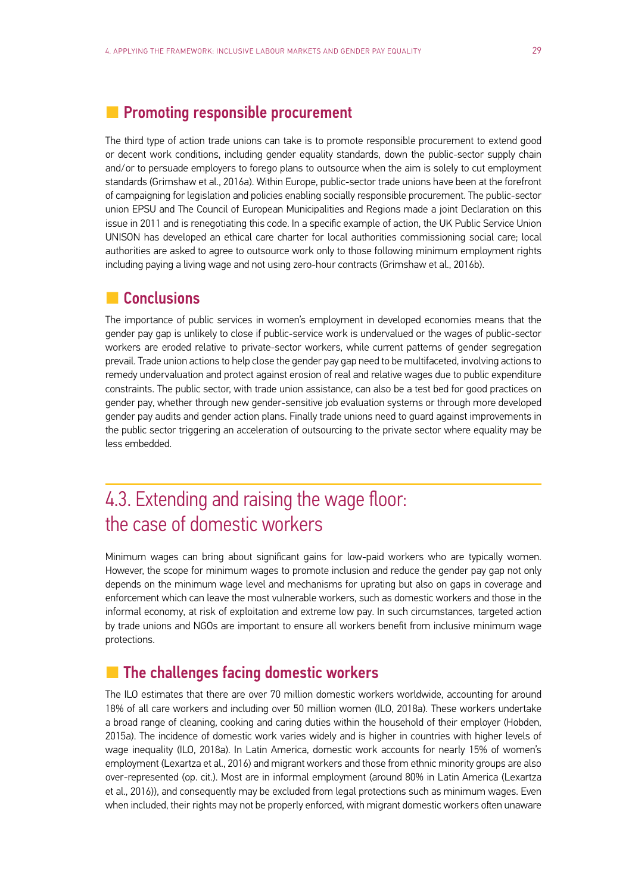#### <span id="page-30-0"></span>**L** Promoting responsible procurement

The third type of action trade unions can take is to promote responsible procurement to extend good or decent work conditions, including gender equality standards, down the public-sector supply chain and/or to persuade employers to forego plans to outsource when the aim is solely to cut employment standards (Grimshaw et al., 2016a). Within Europe, public-sector trade unions have been at the forefront of campaigning for legislation and policies enabling socially responsible procurement. The public-sector union EPSU and The Council of European Municipalities and Regions made a joint Declaration on this issue in 2011 and is renegotiating this code. In a specific example of action, the UK Public Service Union UNISON has developed an ethical care charter for local authorities commissioning social care; local authorities are asked to agree to outsource work only to those following minimum employment rights including paying a living wage and not using zero-hour contracts (Grimshaw et al., 2016b).

#### **L** Conclusions

The importance of public services in women's employment in developed economies means that the gender pay gap is unlikely to close if public-service work is undervalued or the wages of public-sector workers are eroded relative to private-sector workers, while current patterns of gender segregation prevail. Trade union actions to help close the gender pay gap need to be multifaceted, involving actions to remedy undervaluation and protect against erosion of real and relative wages due to public expenditure constraints. The public sector, with trade union assistance, can also be a test bed for good practices on gender pay, whether through new gender-sensitive job evaluation systems or through more developed gender pay audits and gender action plans. Finally trade unions need to guard against improvements in the public sector triggering an acceleration of outsourcing to the private sector where equality may be less embedded.

### 4.3. Extending and raising the wage floor: the case of domestic workers

Minimum wages can bring about significant gains for low-paid workers who are typically women. However, the scope for minimum wages to promote inclusion and reduce the gender pay gap not only depends on the minimum wage level and mechanisms for uprating but also on gaps in coverage and enforcement which can leave the most vulnerable workers, such as domestic workers and those in the informal economy, at risk of exploitation and extreme low pay. In such circumstances, targeted action by trade unions and NGOs are important to ensure all workers benefit from inclusive minimum wage protections.

#### **L** The challenges facing domestic workers

The ILO estimates that there are over 70 million domestic workers worldwide, accounting for around 18% of all care workers and including over 50 million women (ILO, 2018a). These workers undertake a broad range of cleaning, cooking and caring duties within the household of their employer (Hobden, 2015a). The incidence of domestic work varies widely and is higher in countries with higher levels of wage inequality (ILO, 2018a). In Latin America, domestic work accounts for nearly 15% of women's employment (Lexartza et al., 2016) and migrant workers and those from ethnic minority groups are also over-represented (op. cit.). Most are in informal employment (around 80% in Latin America (Lexartza et al., 2016)), and consequently may be excluded from legal protections such as minimum wages. Even when included, their rights may not be properly enforced, with migrant domestic workers often unaware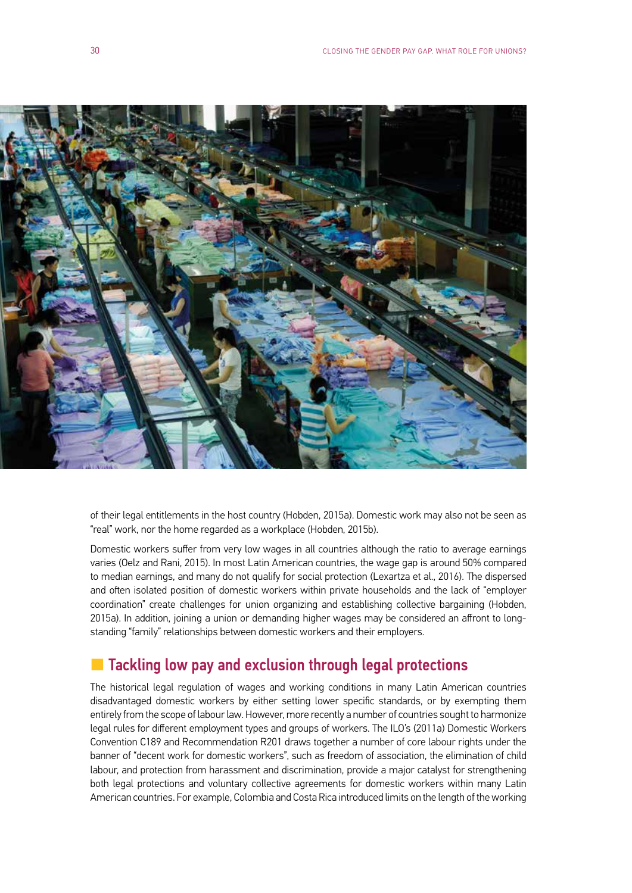<span id="page-31-0"></span>

of their legal entitlements in the host country (Hobden, 2015a). Domestic work may also not be seen as "real" work, nor the home regarded as a workplace (Hobden, 2015b).

Domestic workers suffer from very low wages in all countries although the ratio to average earnings varies (Oelz and Rani, 2015). In most Latin American countries, the wage gap is around 50% compared to median earnings, and many do not qualify for social protection (Lexartza et al., 2016). The dispersed and often isolated position of domestic workers within private households and the lack of "employer coordination" create challenges for union organizing and establishing collective bargaining (Hobden, 2015a). In addition, joining a union or demanding higher wages may be considered an affront to longstanding "family" relationships between domestic workers and their employers.

#### **L** Tackling low pay and exclusion through legal protections

The historical legal regulation of wages and working conditions in many Latin American countries disadvantaged domestic workers by either setting lower specific standards, or by exempting them entirely from the scope of labour law. However, more recently a number of countries sought to harmonize legal rules for different employment types and groups of workers. The ILO's (2011a) Domestic Workers Convention C189 and Recommendation R201 draws together a number of core labour rights under the banner of "decent work for domestic workers", such as freedom of association, the elimination of child labour, and protection from harassment and discrimination, provide a major catalyst for strengthening both legal protections and voluntary collective agreements for domestic workers within many Latin American countries. For example, Colombia and Costa Rica introduced limits on the length of the working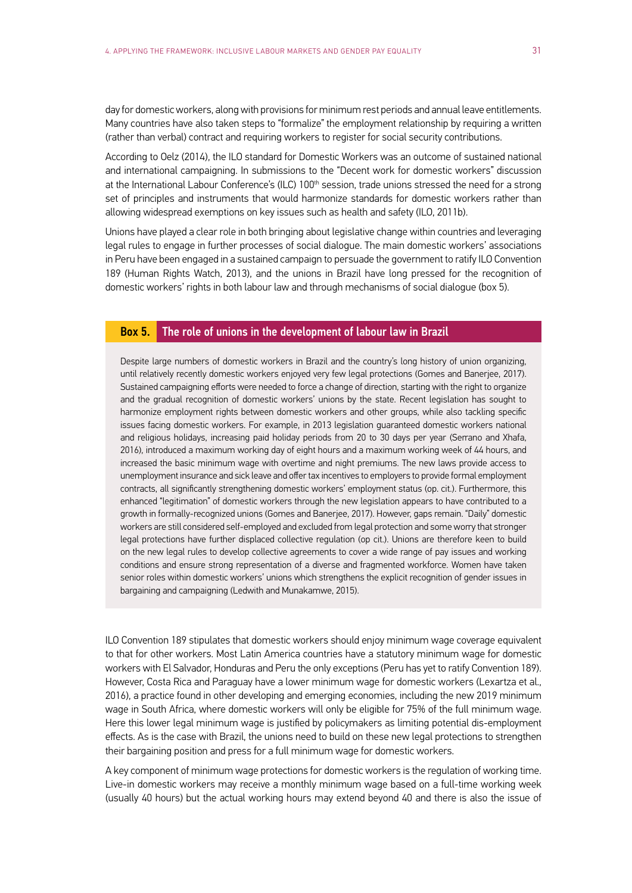day for domestic workers, along with provisions for minimum rest periods and annual leave entitlements. Many countries have also taken steps to "formalize" the employment relationship by requiring a written (rather than verbal) contract and requiring workers to register for social security contributions.

According to Oelz (2014), the ILO standard for Domestic Workers was an outcome of sustained national and international campaigning. In submissions to the "Decent work for domestic workers" discussion at the International Labour Conference's (ILC) 100<sup>th</sup> session, trade unions stressed the need for a strong set of principles and instruments that would harmonize standards for domestic workers rather than allowing widespread exemptions on key issues such as health and safety (ILO, 2011b).

Unions have played a clear role in both bringing about legislative change within countries and leveraging legal rules to engage in further processes of social dialogue. The main domestic workers' associations in Peru have been engaged in a sustained campaign to persuade the government to ratify ILO Convention 189 (Human Rights Watch, 2013), and the unions in Brazil have long pressed for the recognition of domestic workers' rights in both labour law and through mechanisms of social dialogue (box 5).

#### Box 5. The role of unions in the development of labour law in Brazil

Despite large numbers of domestic workers in Brazil and the country's long history of union organizing, until relatively recently domestic workers enjoyed very few legal protections (Gomes and Banerjee, 2017). Sustained campaigning efforts were needed to force a change of direction, starting with the right to organize and the gradual recognition of domestic workers' unions by the state. Recent legislation has sought to harmonize employment rights between domestic workers and other groups, while also tackling specific issues facing domestic workers. For example, in 2013 legislation guaranteed domestic workers national and religious holidays, increasing paid holiday periods from 20 to 30 days per year (Serrano and Xhafa, 2016), introduced a maximum working day of eight hours and a maximum working week of 44 hours, and increased the basic minimum wage with overtime and night premiums. The new laws provide access to unemployment insurance and sick leave and offer tax incentives to employers to provide formal employment contracts, all significantly strengthening domestic workers' employment status (op. cit.). Furthermore, this enhanced "legitimation" of domestic workers through the new legislation appears to have contributed to a growth in formally-recognized unions (Gomes and Banerjee, 2017). However, gaps remain. "Daily" domestic workers are still considered self-employed and excluded from legal protection and some worry that stronger legal protections have further displaced collective regulation (op cit.). Unions are therefore keen to build on the new legal rules to develop collective agreements to cover a wide range of pay issues and working conditions and ensure strong representation of a diverse and fragmented workforce. Women have taken senior roles within domestic workers' unions which strengthens the explicit recognition of gender issues in bargaining and campaigning (Ledwith and Munakamwe, 2015).

ILO Convention 189 stipulates that domestic workers should enjoy minimum wage coverage equivalent to that for other workers. Most Latin America countries have a statutory minimum wage for domestic workers with El Salvador, Honduras and Peru the only exceptions (Peru has yet to ratify Convention 189). However, Costa Rica and Paraguay have a lower minimum wage for domestic workers (Lexartza et al., 2016), a practice found in other developing and emerging economies, including the new 2019 minimum wage in South Africa, where domestic workers will only be eligible for 75% of the full minimum wage. Here this lower legal minimum wage is justified by policymakers as limiting potential dis-employment effects. As is the case with Brazil, the unions need to build on these new legal protections to strengthen their bargaining position and press for a full minimum wage for domestic workers.

A key component of minimum wage protections for domestic workers is the regulation of working time. Live-in domestic workers may receive a monthly minimum wage based on a full-time working week (usually 40 hours) but the actual working hours may extend beyond 40 and there is also the issue of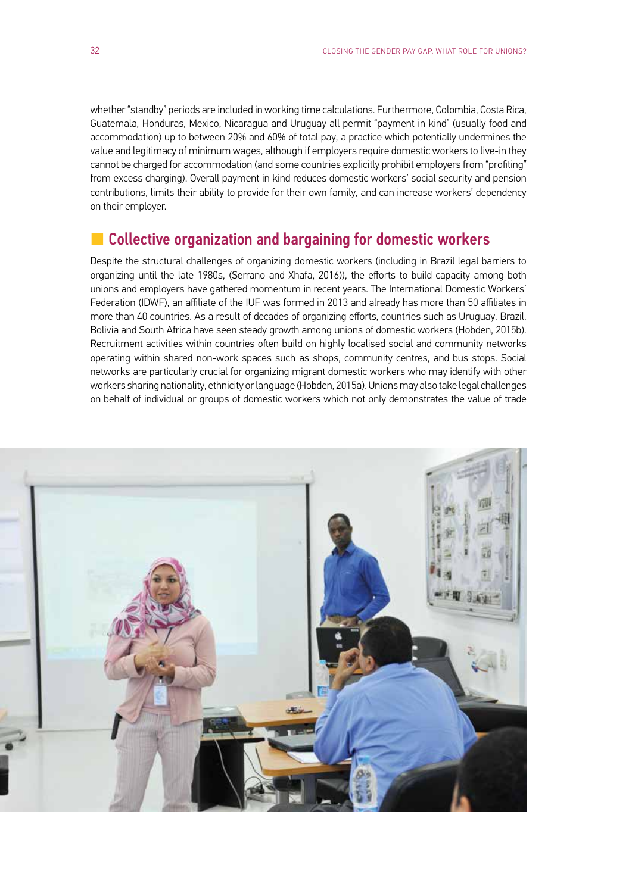<span id="page-33-0"></span>whether "standby" periods are included in working time calculations. Furthermore, Colombia, Costa Rica, Guatemala, Honduras, Mexico, Nicaragua and Uruguay all permit "payment in kind" (usually food and accommodation) up to between 20% and 60% of total pay, a practice which potentially undermines the value and legitimacy of minimum wages, although if employers require domestic workers to live-in they cannot be charged for accommodation (and some countries explicitly prohibit employers from "profiting" from excess charging). Overall payment in kind reduces domestic workers' social security and pension contributions, limits their ability to provide for their own family, and can increase workers' dependency on their employer.

#### **L** Collective organization and bargaining for domestic workers

Despite the structural challenges of organizing domestic workers (including in Brazil legal barriers to organizing until the late 1980s, (Serrano and Xhafa, 2016)), the efforts to build capacity among both unions and employers have gathered momentum in recent years. The International Domestic Workers' Federation (IDWF), an affiliate of the IUF was formed in 2013 and already has more than 50 affiliates in more than 40 countries. As a result of decades of organizing efforts, countries such as Uruguay, Brazil, Bolivia and South Africa have seen steady growth among unions of domestic workers (Hobden, 2015b). Recruitment activities within countries often build on highly localised social and community networks operating within shared non-work spaces such as shops, community centres, and bus stops. Social networks are particularly crucial for organizing migrant domestic workers who may identify with other workers sharing nationality, ethnicity or language (Hobden, 2015a). Unions may also take legal challenges on behalf of individual or groups of domestic workers which not only demonstrates the value of trade

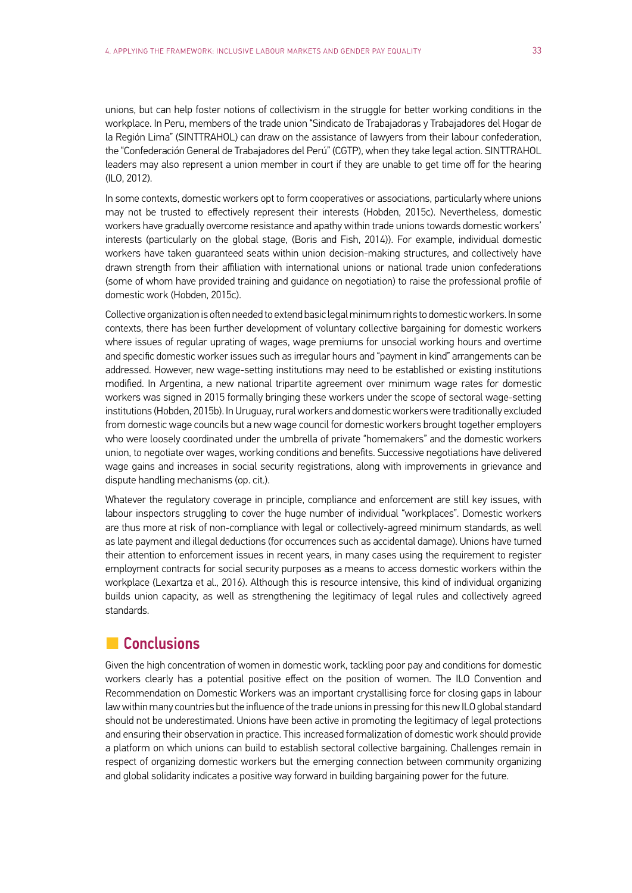<span id="page-34-0"></span>unions, but can help foster notions of collectivism in the struggle for better working conditions in the workplace. In Peru, members of the trade union "Sindicato de Trabajadoras y Trabajadores del Hogar de la Región Lima" (SINTTRAHOL) can draw on the assistance of lawyers from their labour confederation, the "Confederación General de Trabajadores del Perú" (CGTP), when they take legal action. SINTTRAHOL leaders may also represent a union member in court if they are unable to get time off for the hearing (ILO, 2012).

In some contexts, domestic workers opt to form cooperatives or associations, particularly where unions may not be trusted to effectively represent their interests (Hobden, 2015c). Nevertheless, domestic workers have gradually overcome resistance and apathy within trade unions towards domestic workers' interests (particularly on the global stage, (Boris and Fish, 2014)). For example, individual domestic workers have taken guaranteed seats within union decision-making structures, and collectively have drawn strength from their affiliation with international unions or national trade union confederations (some of whom have provided training and guidance on negotiation) to raise the professional profile of domestic work (Hobden, 2015c).

Collective organization is often needed to extend basic legal minimum rights to domestic workers. In some contexts, there has been further development of voluntary collective bargaining for domestic workers where issues of regular uprating of wages, wage premiums for unsocial working hours and overtime and specific domestic worker issues such as irregular hours and "payment in kind" arrangements can be addressed. However, new wage-setting institutions may need to be established or existing institutions modified. In Argentina, a new national tripartite agreement over minimum wage rates for domestic workers was signed in 2015 formally bringing these workers under the scope of sectoral wage-setting institutions (Hobden, 2015b). In Uruguay, rural workers and domestic workers were traditionally excluded from domestic wage councils but a new wage council for domestic workers brought together employers who were loosely coordinated under the umbrella of private "homemakers" and the domestic workers union, to negotiate over wages, working conditions and benefits. Successive negotiations have delivered wage gains and increases in social security registrations, along with improvements in grievance and dispute handling mechanisms (op. cit.).

Whatever the regulatory coverage in principle, compliance and enforcement are still key issues, with labour inspectors struggling to cover the huge number of individual "workplaces". Domestic workers are thus more at risk of non-compliance with legal or collectively-agreed minimum standards, as well as late payment and illegal deductions (for occurrences such as accidental damage). Unions have turned their attention to enforcement issues in recent years, in many cases using the requirement to register employment contracts for social security purposes as a means to access domestic workers within the workplace (Lexartza et al., 2016). Although this is resource intensive, this kind of individual organizing builds union capacity, as well as strengthening the legitimacy of legal rules and collectively agreed standards.

#### **L** Conclusions

Given the high concentration of women in domestic work, tackling poor pay and conditions for domestic workers clearly has a potential positive effect on the position of women. The ILO Convention and Recommendation on Domestic Workers was an important crystallising force for closing gaps in labour law within many countries but the influence of the trade unions in pressing for this new ILO global standard should not be underestimated. Unions have been active in promoting the legitimacy of legal protections and ensuring their observation in practice. This increased formalization of domestic work should provide a platform on which unions can build to establish sectoral collective bargaining. Challenges remain in respect of organizing domestic workers but the emerging connection between community organizing and global solidarity indicates a positive way forward in building bargaining power for the future.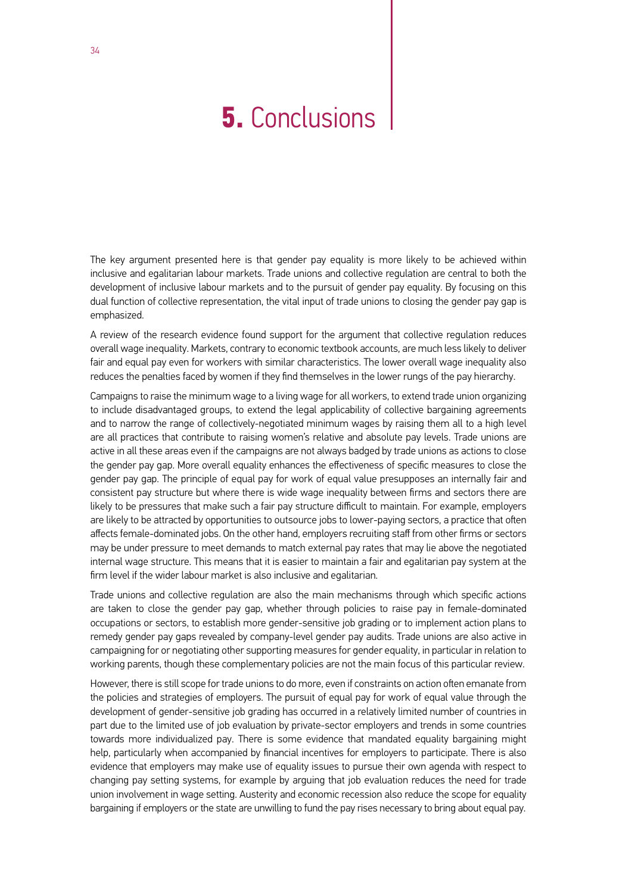## <span id="page-35-0"></span>**5.** Conclusions

The key argument presented here is that gender pay equality is more likely to be achieved within inclusive and egalitarian labour markets. Trade unions and collective regulation are central to both the development of inclusive labour markets and to the pursuit of gender pay equality. By focusing on this dual function of collective representation, the vital input of trade unions to closing the gender pay gap is emphasized.

A review of the research evidence found support for the argument that collective regulation reduces overall wage inequality. Markets, contrary to economic textbook accounts, are much less likely to deliver fair and equal pay even for workers with similar characteristics. The lower overall wage inequality also reduces the penalties faced by women if they find themselves in the lower rungs of the pay hierarchy.

Campaigns to raise the minimum wage to a living wage for all workers, to extend trade union organizing to include disadvantaged groups, to extend the legal applicability of collective bargaining agreements and to narrow the range of collectively-negotiated minimum wages by raising them all to a high level are all practices that contribute to raising women's relative and absolute pay levels. Trade unions are active in all these areas even if the campaigns are not always badged by trade unions as actions to close the gender pay gap. More overall equality enhances the effectiveness of specific measures to close the gender pay gap. The principle of equal pay for work of equal value presupposes an internally fair and consistent pay structure but where there is wide wage inequality between firms and sectors there are likely to be pressures that make such a fair pay structure difficult to maintain. For example, employers are likely to be attracted by opportunities to outsource jobs to lower-paying sectors, a practice that often affects female-dominated jobs. On the other hand, employers recruiting staff from other firms or sectors may be under pressure to meet demands to match external pay rates that may lie above the negotiated internal wage structure. This means that it is easier to maintain a fair and egalitarian pay system at the firm level if the wider labour market is also inclusive and egalitarian.

Trade unions and collective regulation are also the main mechanisms through which specific actions are taken to close the gender pay gap, whether through policies to raise pay in female-dominated occupations or sectors, to establish more gender-sensitive job grading or to implement action plans to remedy gender pay gaps revealed by company-level gender pay audits. Trade unions are also active in campaigning for or negotiating other supporting measures for gender equality, in particular in relation to working parents, though these complementary policies are not the main focus of this particular review.

However, there is still scope for trade unions to do more, even if constraints on action often emanate from the policies and strategies of employers. The pursuit of equal pay for work of equal value through the development of gender-sensitive job grading has occurred in a relatively limited number of countries in part due to the limited use of job evaluation by private-sector employers and trends in some countries towards more individualized pay. There is some evidence that mandated equality bargaining might help, particularly when accompanied by financial incentives for employers to participate. There is also evidence that employers may make use of equality issues to pursue their own agenda with respect to changing pay setting systems, for example by arguing that job evaluation reduces the need for trade union involvement in wage setting. Austerity and economic recession also reduce the scope for equality bargaining if employers or the state are unwilling to fund the pay rises necessary to bring about equal pay.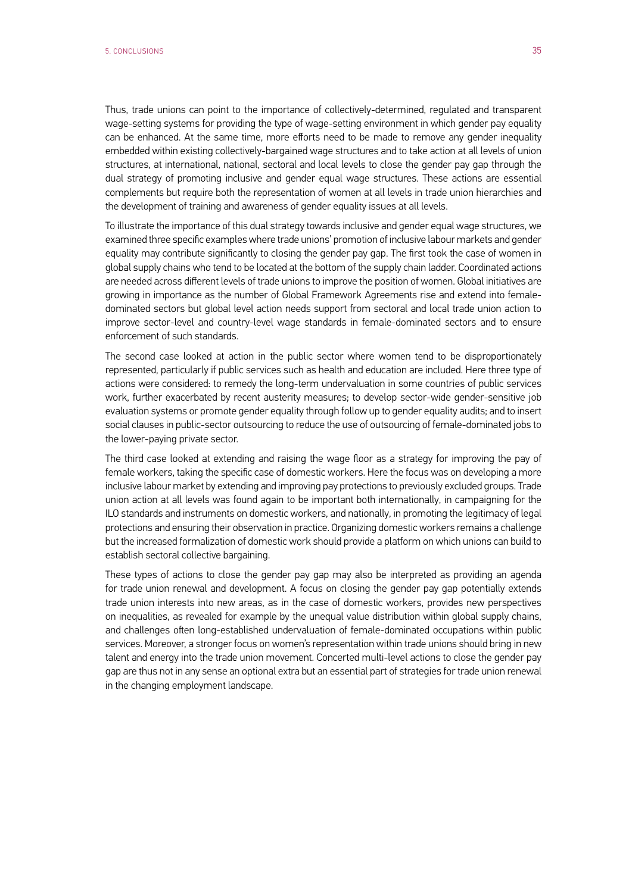Thus, trade unions can point to the importance of collectively-determined, regulated and transparent wage-setting systems for providing the type of wage-setting environment in which gender pay equality can be enhanced. At the same time, more efforts need to be made to remove any gender inequality embedded within existing collectively-bargained wage structures and to take action at all levels of union structures, at international, national, sectoral and local levels to close the gender pay gap through the dual strategy of promoting inclusive and gender equal wage structures. These actions are essential complements but require both the representation of women at all levels in trade union hierarchies and the development of training and awareness of gender equality issues at all levels.

To illustrate the importance of this dual strategy towards inclusive and gender equal wage structures, we examined three specific examples where trade unions' promotion of inclusive labour markets and gender equality may contribute significantly to closing the gender pay gap. The first took the case of women in global supply chains who tend to be located at the bottom of the supply chain ladder. Coordinated actions are needed across different levels of trade unions to improve the position of women. Global initiatives are growing in importance as the number of Global Framework Agreements rise and extend into femaledominated sectors but global level action needs support from sectoral and local trade union action to improve sector-level and country-level wage standards in female-dominated sectors and to ensure enforcement of such standards.

The second case looked at action in the public sector where women tend to be disproportionately represented, particularly if public services such as health and education are included. Here three type of actions were considered: to remedy the long-term undervaluation in some countries of public services work, further exacerbated by recent austerity measures; to develop sector-wide gender-sensitive job evaluation systems or promote gender equality through follow up to gender equality audits; and to insert social clauses in public-sector outsourcing to reduce the use of outsourcing of female-dominated jobs to the lower-paying private sector.

The third case looked at extending and raising the wage floor as a strategy for improving the pay of female workers, taking the specific case of domestic workers. Here the focus was on developing a more inclusive labour market by extending and improving pay protections to previously excluded groups. Trade union action at all levels was found again to be important both internationally, in campaigning for the ILO standards and instruments on domestic workers, and nationally, in promoting the legitimacy of legal protections and ensuring their observation in practice. Organizing domestic workers remains a challenge but the increased formalization of domestic work should provide a platform on which unions can build to establish sectoral collective bargaining.

These types of actions to close the gender pay gap may also be interpreted as providing an agenda for trade union renewal and development. A focus on closing the gender pay gap potentially extends trade union interests into new areas, as in the case of domestic workers, provides new perspectives on inequalities, as revealed for example by the unequal value distribution within global supply chains, and challenges often long-established undervaluation of female-dominated occupations within public services. Moreover, a stronger focus on women's representation within trade unions should bring in new talent and energy into the trade union movement. Concerted multi-level actions to close the gender pay gap are thus not in any sense an optional extra but an essential part of strategies for trade union renewal in the changing employment landscape.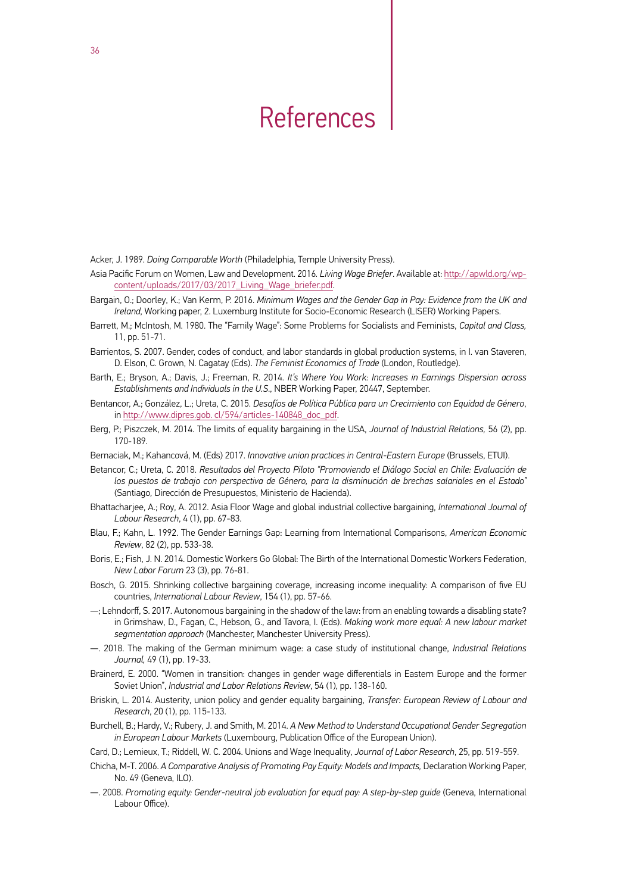## References

<span id="page-37-0"></span>Acker, J. 1989. *Doing Comparable Worth* (Philadelphia, Temple University Press).

- Asia Pacific Forum on Women, Law and Development. 2016*. Living Wage Briefer*. Available at: http://apwld.org/wpcontent/uploads/2017/03/2017\_Living\_Wage\_briefer.pdf.
- Bargain, O.; Doorley, K.; Van Kerm, P. 2016. *Minimum Wages and the Gender Gap in Pay: Evidence from the UK and Ireland*, Working paper, 2. Luxemburg Institute for Socio-Economic Research (LISER) Working Papers.
- Barrett, M.; McIntosh, M. 1980. The "Family Wage": Some Problems for Socialists and Feminists, *Capital and Class,* 11, pp. 51-71.
- Barrientos, S. 2007. Gender, codes of conduct, and labor standards in global production systems, in I. van Staveren, D. Elson, C. Grown, N. Cagatay (Eds). *The Feminist Economics of Trade* (London, Routledge).
- Barth, E.; Bryson, A.; Davis, J.; Freeman, R. 2014. *It's Where You Work: Increases in Earnings Dispersion across Establishments and Individuals in the U.S*., NBER Working Paper, 20447, September.
- Bentancor, A.; González, L.; Ureta, C. 2015. *Desafíos de Política Pública para un Crecimiento con Equidad de Género*, in http://www.dipres.gob. cl/594/articles-140848\_doc\_pdf.
- Berg, P.; Piszczek, M. 2014. The limits of equality bargaining in the USA, *Journal of Industrial Relations,* 56 (2), pp. 170-189.
- Bernaciak, M.; Kahancová, M. (Eds) 2017. *Innovative union practices in Central-Eastern Europe* (Brussels, ETUI).
- Betancor, C.; Ureta, C. 2018. *Resultados del Proyecto Piloto "Promoviendo el Diálogo Social en Chile: Evaluación de los puestos de trabajo con perspectiva de Género, para la disminución de brechas salariales en el Estado"*  (Santiago*,* Dirección de Presupuestos, Ministerio de Hacienda).
- Bhattacharjee, A.; Roy, A. 2012. Asia Floor Wage and global industrial collective bargaining, *International Journal of Labour Research*, 4 (1), pp. 67-83.
- Blau, F.; Kahn, L. 1992. The Gender Earnings Gap: Learning from International Comparisons, *American Economic Review*, 82 (2), pp. 533-38.
- Boris, E.; Fish, J. N. 2014. Domestic Workers Go Global: The Birth of the International Domestic Workers Federation, *New Labor Forum* 23 (3), pp. 76-81.
- Bosch, G. 2015. Shrinking collective bargaining coverage, increasing income inequality: A comparison of five EU countries, *International Labour Review*, 154 (1), pp. 57-66.
- —; Lehndorff, S. 2017. Autonomous bargaining in the shadow of the law: from an enabling towards a disabling state? in Grimshaw, D., Fagan, C., Hebson, G., and Tavora, I. (Eds). *Making work more equal: A new labour market segmentation approach* (Manchester, Manchester University Press).
- —. 2018. The making of the German minimum wage: a case study of institutional change, *Industrial Relations Journal,* 49 (1), pp. 19-33.
- Brainerd, E. 2000. "Women in transition: changes in gender wage differentials in Eastern Europe and the former Soviet Union", *Industrial and Labor Relations Review*, 54 (1), pp. 138-160.
- Briskin, L. 2014. Austerity, union policy and gender equality bargaining, *Transfer: European Review of Labour and Research*, 20 (1), pp. 115-133.
- Burchell, B.; Hardy, V.; Rubery, J. and Smith, M. 2014. *A New Method to Understand Occupational Gender Segregation in European Labour Markets* (Luxembourg, Publication Office of the European Union).

Card, D.; Lemieux, T.; Riddell, W. C. 2004. Unions and Wage Inequality, *Journal of Labor Research*, 25, pp. 519-559.

- Chicha, M-T. 2006. *A Comparative Analysis of Promoting Pay Equity: Models and Impacts,* Declaration Working Paper, No. 49 (Geneva, ILO).
- —. 2008. *Promoting equity: Gender-neutral job evaluation for equal pay: A step-by-step guide* (Geneva, International Labour Office).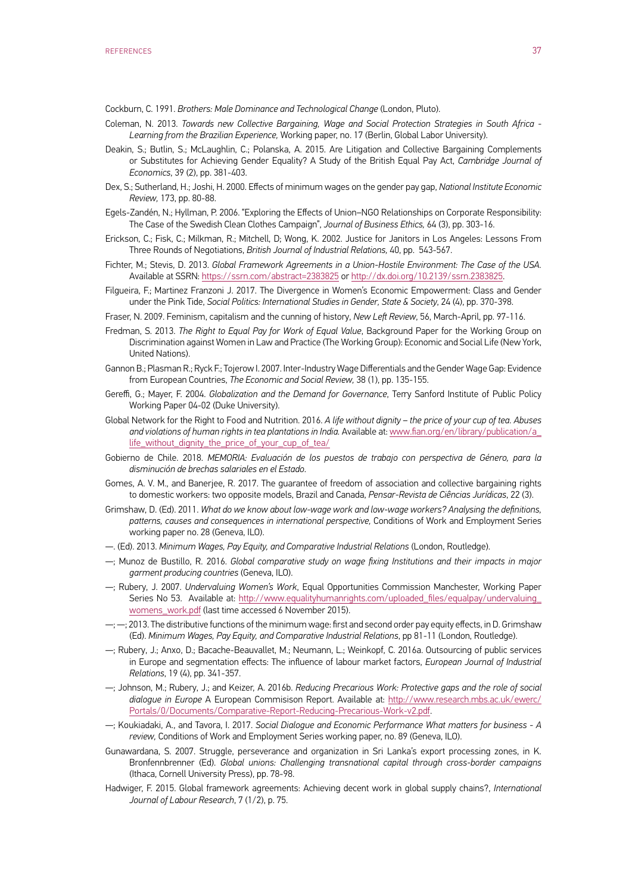Cockburn, C. 1991. *Brothers: Male Dominance and Technological Change* (London, Pluto).

- Coleman, N. 2013. *Towards new Collective Bargaining, Wage and Social Protection Strategies in South Africa Learning from the Brazilian Experience,* Working paper, no. 17 (Berlin, Global Labor University).
- Deakin, S.; Butlin, S.; McLaughlin, C.; Polanska, A. 2015. Are Litigation and Collective Bargaining Complements or Substitutes for Achieving Gender Equality? A Study of the British Equal Pay Act, *Cambridge Journal of Economics*, 39 (2), pp. 381-403.
- Dex, S.; Sutherland, H.; Joshi, H. 2000. Effects of minimum wages on the gender pay gap, *National Institute Economic Review,* 173, pp. 80-88.
- Egels-Zandén, N.; Hyllman, P. 2006. "Exploring the Effects of Union–NGO Relationships on Corporate Responsibility: The Case of the Swedish Clean Clothes Campaign", *Journal of Business Ethics,* 64 (3), pp. 303-16.
- Erickson, C.; Fisk, C.; Milkman, R.; Mitchell, D; Wong, K. 2002. Justice for Janitors in Los Angeles: Lessons From Three Rounds of Negotiations, *British Journal of Industrial Relations,* 40, pp. 543-567.
- Fichter, M.; Stevis, D. 2013. *Global Framework Agreements in a Union-Hostile Environment: The Case of the USA.* Available at SSRN: https://ssrn.com/abstract=2383825 or http://dx.doi.org/10.2139/ssrn.2383825.
- Filgueira, F.; Martinez Franzoni J. 2017. The Divergence in Women's Economic Empowerment: Class and Gender under the Pink Tide, *Social Politics: International Studies in Gender, State & Society*, 24 (4), pp. 370-398.
- Fraser, N. 2009. Feminism, capitalism and the cunning of history, *New Left Review*, 56, March-April, pp. 97-116.
- Fredman, S. 2013. *The Right to Equal Pay for Work of Equal Value*, Background Paper for the Working Group on Discrimination against Women in Law and Practice (The Working Group): Economic and Social Life (New York, United Nations).
- Gannon B.; Plasman R.; Ryck F.; Tojerow I. 2007. Inter-Industry Wage Differentials and the Gender Wage Gap: Evidence from European Countries, *The Economic and Social Review,* 38 (1), pp. 135-155.
- Gereffi, G.; Mayer, F. 2004. *Globalization and the Demand for Governance*, Terry Sanford Institute of Public Policy Working Paper 04-02 (Duke University).
- Global Network for the Right to Food and Nutrition. 2016. *A life without dignity the price of your cup of tea. Abuses and violations of human rights in tea plantations in India.* Available at: www.fian.org/en/library/publication/a\_ life\_without\_dignity\_the\_price\_of\_your\_cup\_of\_tea/
- Gobierno de Chile. 2018. *MEMORIA: Evaluación de los puestos de trabajo con perspectiva de Género, para la disminución de brechas salariales en el Estado*.
- Gomes, A. V. M., and Banerjee, R. 2017. The guarantee of freedom of association and collective bargaining rights to domestic workers: two opposite models, Brazil and Canada, *Pensar-Revista de Ciências Jurídicas*, 22 (3).
- Grimshaw, D. (Ed). 2011. *What do we know about low-wage work and low-wage workers? Analysing the definitions, patterns, causes and consequences in international perspective,* Conditions of Work and Employment Series working paper no. 28 (Geneva, ILO).
- —. (Ed). 2013. *Minimum Wages, Pay Equity, and Comparative Industrial Relations* (London, Routledge).
- —; Munoz de Bustillo, R. 2016. *Global comparative study on wage fixing Institutions and their impacts in major garment producing countries* (Geneva, ILO).
- —; Rubery, J. 2007. *Undervaluing Women's Work*, Equal Opportunities Commission Manchester, Working Paper Series No 53. Available at: http://www.equalityhumanrights.com/uploaded\_files/equalpay/undervaluing womens\_work.pdf (last time accessed 6 November 2015).
- $-$ ;  $-$ ; 2013. The distributive functions of the minimum wage: first and second order pay equity effects, in D. Grimshaw (Ed). *Minimum Wages, Pay Equity, and Comparative Industrial Relations*, pp 81-11 (London, Routledge).
- —; Rubery, J.; Anxo, D.; Bacache-Beauvallet, M.; Neumann, L.; Weinkopf, C. 2016a. Outsourcing of public services in Europe and segmentation effects: The influence of labour market factors, *European Journal of Industrial Relations*, 19 (4), pp. 341-357.
- —; Johnson, M.; Rubery, J.; and Keizer, A. 2016b. *Reducing Precarious Work: Protective gaps and the role of social dialogue in Europe* A European Commisison Report. Available at: http://www.research.mbs.ac.uk/ewerc/ Portals/0/Documents/Comparative-Report-Reducing-Precarious-Work-v2.pdf.
- —; Koukiadaki, A., and Tavora, I. 2017. *Social Dialogue and Economic Performance What matters for business A review,* Conditions of Work and Employment Series working paper, no. 89 (Geneva, ILO).
- Gunawardana, S. 2007. Struggle, perseverance and organization in Sri Lanka's export processing zones, in K. Bronfennbrenner (Ed). *Global unions: Challenging transnational capital through cross-border campaigns* (Ithaca, Cornell University Press), pp. 78-98.
- Hadwiger, F. 2015. Global framework agreements: Achieving decent work in global supply chains?, *International Journal of Labour Research*, 7 (1/2), p. 75.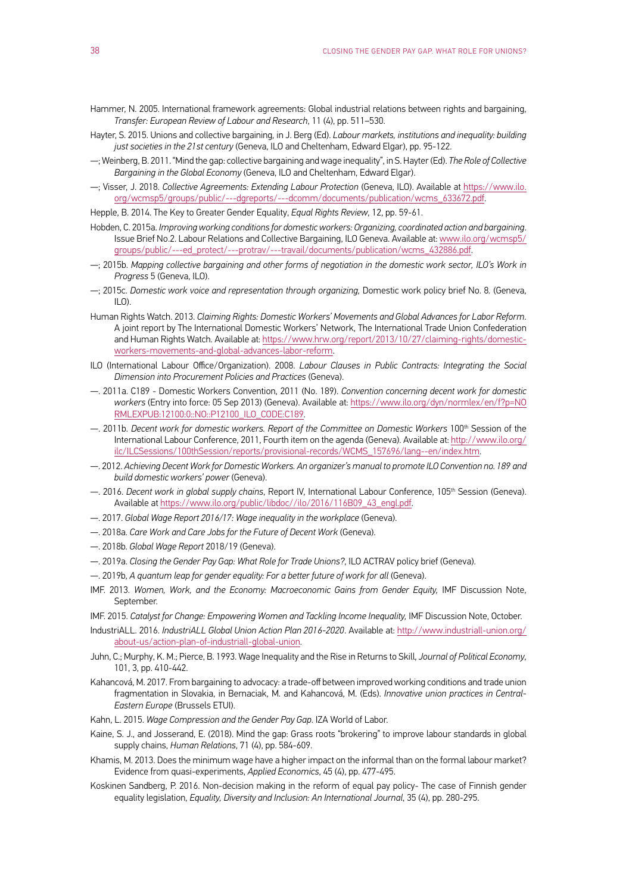- Hammer, N. 2005. International framework agreements: Global industrial relations between rights and bargaining, *Transfer: European Review of Labour and Research*, 11 (4), pp. 511–530.
- Hayter, S. 2015. Unions and collective bargaining*,* in J. Berg (Ed). *Labour markets, institutions and inequality: building just societies in the 21st century* (Geneva, ILO and Cheltenham, Edward Elgar), pp. 95-122.
- —; Weinberg, B. 2011. "Mind the gap: collective bargaining and wage inequality", in S. Hayter (Ed). *The Role of Collective Bargaining in the Global Economy* (Geneva, ILO and Cheltenham, Edward Elgar).
- —; Visser, J. 2018. *Collective Agreements: Extending Labour Protection* (Geneva, ILO). Available at https://www.ilo. org/wcmsp5/groups/public/---dgreports/---dcomm/documents/publication/wcms\_633672.pdf.

Hepple, B. 2014. The Key to Greater Gender Equality, *Equal Rights Review*, 12, pp. 59-61.

- Hobden, C. 2015a. *Improving working conditions for domestic workers: Organizing, coordinated action and bargaining*. Issue Brief No.2. Labour Relations and Collective Bargaining, ILO Geneva. Available at: www.ilo.org/wcmsp5/ groups/public/---ed\_protect/---protrav/---travail/documents/publication/wcms\_432886.pdf.
- —; 2015b. *Mapping collective bargaining and other forms of negotiation in the domestic work sector, ILO's Work in Progress* 5 (Geneva, ILO).
- —; 2015c. *Domestic work voice and representation through organizing,* Domestic work policy brief No. 8*.* (Geneva,  $II(0)$
- Human Rights Watch. 2013. *Claiming Rights: Domestic Workers' Movements and Global Advances for Labor Reform*. A joint report by The International Domestic Workers' Network, The International Trade Union Confederation and Human Rights Watch. Available at: https://www.hrw.org/report/2013/10/27/claiming-rights/domesticworkers-movements-and-global-advances-labor-reform.
- ILO (International Labour Office/Organization). 2008. *Labour Clauses in Public Contracts: Integrating the Social Dimension into Procurement Policies and Practices* (Geneva).
- —. 2011a. C189 Domestic Workers Convention, 2011 (No. 189). *Convention concerning decent work for domestic workers* (Entry into force: 05 Sep 2013) (Geneva). Available at: https://www.ilo.org/dyn/normlex/en/f?p=NO RMLEXPUB:12100:0::NO::P12100\_ILO\_CODE:C189.
- —. 2011b. *Decent work for domestic workers. Report of the Committee on Domestic Workers* 100th Session of the International Labour Conference, 2011, Fourth item on the agenda (Geneva). Available at: http://www.ilo.org/ ilc/ILCSessions/100thSession/reports/provisional-records/WCMS\_157696/lang--en/index.htm.
- —. 2012. *Achieving Decent Work for Domestic Workers. An organizer's manual to promote ILO Convention no. 189 and build domestic workers' power* (Geneva).
- —. 2016. *Decent work in global supply chains*, Report IV, International Labour Conference, 105th Session (Geneva). Available at https://www.ilo.org/public/libdoc//ilo/2016/116B09\_43\_engl.pdf.
- —. 2017. *Global Wage Report 2016/17: Wage inequality in the workplace* (Geneva).
- —. 2018a. *Care Work and Care Jobs for the Future of Decent Work* (Geneva).
- —. 2018b. *Global Wage Report* 2018/19 (Geneva).
- —. 2019a. *Closing the Gender Pay Gap: What Role for Trade Unions?*, ILO ACTRAV policy brief (Geneva).
- —. 2019b, *A quantum leap for gender equality: For a better future of work for all* (Geneva).
- IMF. 2013. *Women, Work, and the Economy: Macroeconomic Gains from Gender Equity,* IMF Discussion Note, September.

IMF. 2015. *Catalyst for Change: Empowering Women and Tackling Income Inequality,* IMF Discussion Note, October.

- IndustriALL. 2016. *IndustriALL Global Union Action Plan 2016-2020*. Available at: http://www.industriall-union.org/ about-us/action-plan-of-industriall-global-union.
- Juhn, C.; Murphy, K. M.; Pierce, B. 1993. Wage Inequality and the Rise in Returns to Skill, *Journal of Political Economy*, 101, 3, pp. 410-442.
- Kahancová, M. 2017. From bargaining to advocacy: a trade-off between improved working conditions and trade union fragmentation in Slovakia, in Bernaciak, M. and Kahancová, M. (Eds). *Innovative union practices in Central-Eastern Europe* (Brussels ETUI).
- Kahn, L. 2015. *Wage Compression and the Gender Pay Gap*. IZA World of Labor.
- Kaine, S. J., and Josserand, E. (2018). Mind the gap: Grass roots "brokering" to improve labour standards in global supply chains, *Human Relations*, 71 (4), pp. 584-609.
- Khamis, M. 2013. Does the minimum wage have a higher impact on the informal than on the formal labour market? Evidence from quasi-experiments, *Applied Economics*, 45 (4), pp. 477-495.
- Koskinen Sandberg, P. 2016. Non-decision making in the reform of equal pay policy- The case of Finnish gender equality legislation, *Equality, Diversity and Inclusion: An International Journal*, 35 (4), pp. 280-295.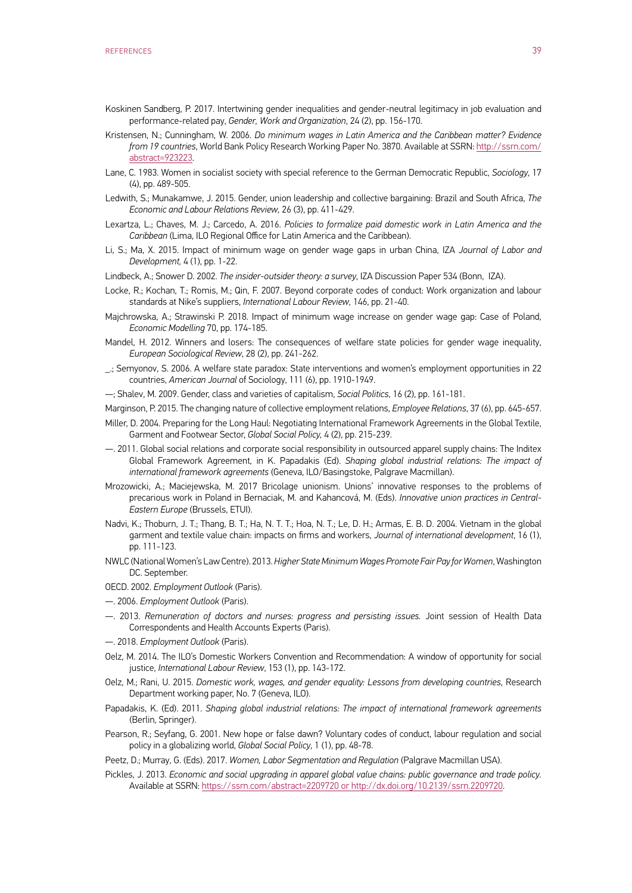- Koskinen Sandberg, P. 2017. Intertwining gender inequalities and gender-neutral legitimacy in job evaluation and performance-related pay, *Gender, Work and Organization*, 24 (2), pp. 156-170.
- Kristensen, N.; Cunningham, W. 2006. *Do minimum wages in Latin America and the Caribbean matter? Evidence from 19 countries*, World Bank Policy Research Working Paper No. 3870. Available at SSRN: http://ssrn.com/ abstract=923223.
- Lane, C. 1983. Women in socialist society with special reference to the German Democratic Republic, *Sociology*, 17 (4), pp. 489-505.
- Ledwith, S.; Munakamwe, J. 2015. Gender, union leadership and collective bargaining: Brazil and South Africa, *The Economic and Labour Relations Review,* 26 (3), pp. 411-429.
- Lexartza, L.; Chaves, M. J.; Carcedo, A. 2016. *Policies to formalize paid domestic work in Latin America and the Caribbean* (Lima, ILO Regional Office for Latin America and the Caribbean).
- Li, S.; Ma, X. 2015. Impact of minimum wage on gender wage gaps in urban China, IZA *Journal of Labor and Development,* 4 (1), pp. 1-22.
- Lindbeck, A.; Snower D. 2002. *The insider-outsider theory: a survey*, IZA Discussion Paper 534 (Bonn, IZA).
- Locke, R.; Kochan, T.; Romis, M.; Qin, F. 2007. Beyond corporate codes of conduct: Work organization and labour standards at Nike's suppliers, *International Labour Review,* 146, pp. 21-40.
- Majchrowska, A.; Strawinski P. 2018. Impact of minimum wage increase on gender wage gap: Case of Poland, *Economic Modelling* 70, pp. 174-185.
- Mandel, H. 2012. Winners and losers: The consequences of welfare state policies for gender wage inequality, *European Sociological Review*, 28 (2), pp. 241-262.
- \_.; Semyonov, S. 2006. A welfare state paradox: State interventions and women's employment opportunities in 22 countries, *American Journal* of Sociology, 111 (6), pp. 1910-1949.
- —; Shalev, M. 2009. Gender, class and varieties of capitalism, *Social Politics*, 16 (2), pp. 161-181.
- Marginson, P. 2015. The changing nature of collective employment relations, *Employee Relations*, 37 (6), pp. 645-657.
- Miller, D. 2004. Preparing for the Long Haul: Negotiating International Framework Agreements in the Global Textile, Garment and Footwear Sector, *Global Social Policy,* 4 (2), pp. 215-239.
- —. 2011. Global social relations and corporate social responsibility in outsourced apparel supply chains: The Inditex Global Framework Agreement, in K. Papadakis (Ed). *Shaping global industrial relations: The impact of international framework agreements* (Geneva, ILO/Basingstoke, Palgrave Macmillan).
- Mrozowicki, A.; Maciejewska, M. 2017 Bricolage unionism. Unions' innovative responses to the problems of precarious work in Poland in Bernaciak, M. and Kahancová, M. (Eds). *Innovative union practices in Central-Eastern Europe* (Brussels, ETUI).
- Nadvi, K.; Thoburn, J. T.; Thang, B. T.; Ha, N. T. T.; Hoa, N. T.; Le, D. H.; Armas, E. B. D. 2004. Vietnam in the global garment and textile value chain: impacts on firms and workers, *Journal of international development*, 16 (1), pp. 111-123.
- NWLC (National Women's Law Centre). 2013. *Higher State Minimum Wages Promote Fair Pay for Women*, Washington DC. September.
- OECD. 2002. *Employment Outlook* (Paris).
- —. 2006. *Employment Outlook* (Paris).
- —. 2013. *Remuneration of doctors and nurses: progress and persisting issues.* Joint session of Health Data Correspondents and Health Accounts Experts (Paris).
- —. 2018. *Employment Outlook* (Paris).
- Oelz, M. 2014. The ILO's Domestic Workers Convention and Recommendation: A window of opportunity for social justice, *International Labour Review*, 153 (1), pp. 143-172.
- Oelz, M.; Rani, U. 2015. *Domestic work, wages, and gender equality: Lessons from developing countries*, Research Department working paper, No. 7 (Geneva, ILO).
- Papadakis, K. (Ed). 2011. *Shaping global industrial relations: The impact of international framework agreements* (Berlin, Springer).
- Pearson, R.; Seyfang, G. 2001. New hope or false dawn? Voluntary codes of conduct, labour regulation and social policy in a globalizing world, *Global Social Policy*, 1 (1), pp. 48-78.
- Peetz, D.; Murray, G. (Eds). 2017. *Women, Labor Segmentation and Regulation* (Palgrave Macmillan USA).
- Pickles, J. 2013. *Economic and social upgrading in apparel global value chains: public governance and trade policy.*  Available at SSRN: https://ssrn.com/abstract=2209720 or http://dx.doi.org/10.2139/ssrn.2209720.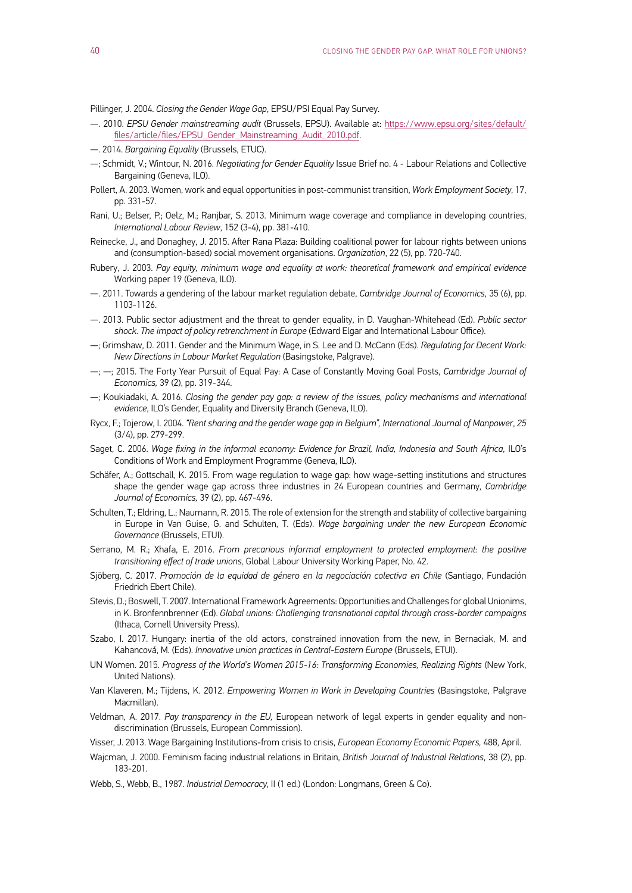Pillinger, J. 2004. *Closing the Gender Wage Gap*, EPSU/PSI Equal Pay Survey.

- —. 2010. *EPSU Gender mainstreaming audit* (Brussels, EPSU). Available at: https://www.epsu.org/sites/default/ files/article/files/EPSU\_Gender\_Mainstreaming\_Audit\_2010.pdf.
- —. 2014. *Bargaining Equality* (Brussels, ETUC).
- —; Schmidt, V.; Wintour, N. 2016. *Negotiating for Gender Equality* Issue Brief no. 4 Labour Relations and Collective Bargaining (Geneva, ILO).
- Pollert, A. 2003. Women, work and equal opportunities in post-communist transition, *Work Employment Society*, 17, pp. 331-57.
- Rani, U.; Belser, P.; Oelz, M.; Ranjbar, S. 2013. Minimum wage coverage and compliance in developing countries, *International Labour Review*, 152 (3-4), pp. 381-410.
- Reinecke, J., and Donaghey, J. 2015. After Rana Plaza: Building coalitional power for labour rights between unions and (consumption-based) social movement organisations. *Organization*, 22 (5), pp. 720-740.
- Rubery, J. 2003. *Pay equity, minimum wage and equality at work: theoretical framework and empirical evidence* Working paper 19 (Geneva, ILO).
- —. 2011. Towards a gendering of the labour market regulation debate, *Cambridge Journal of Economics*, 35 (6), pp. 1103-1126.
- —. 2013. Public sector adjustment and the threat to gender equality, in D. Vaughan-Whitehead (Ed). *Public sector*  shock. The impact of policy retrenchment in Europe (Edward Elgar and International Labour Office).
- —; Grimshaw, D. 2011. Gender and the Minimum Wage, in S. Lee and D. McCann (Eds). *Regulating for Decent Work: New Directions in Labour Market Regulation* (Basingstoke, Palgrave).
- —; —; 2015. The Forty Year Pursuit of Equal Pay: A Case of Constantly Moving Goal Posts, *Cambridge Journal of Economics,* 39 (2), pp. 319-344.
- —; Koukiadaki, A. 2016. *Closing the gender pay gap: a review of the issues, policy mechanisms and international evidence*, ILO's Gender, Equality and Diversity Branch (Geneva, ILO).
- Rycx, F.; Tojerow, I. 2004. *"Rent sharing and the gender wage gap in Belgium", International Journal of Manpower*, *25*  (3/4), pp. 279-299.
- Saget, C. 2006. *Wage fixing in the informal economy: Evidence for Brazil, India, Indonesia and South Africa*, ILO's Conditions of Work and Employment Programme (Geneva, ILO).
- Schäfer, A.; Gottschall, K. 2015. From wage regulation to wage gap: how wage-setting institutions and structures shape the gender wage gap across three industries in 24 European countries and Germany, *Cambridge Journal of Economics,* 39 (2), pp. 467-496.
- Schulten, T.; Eldring, L.; Naumann, R. 2015. The role of extension for the strength and stability of collective bargaining in Europe in Van Guise, G. and Schulten, T. (Eds). *Wage bargaining under the new European Economic Governance* (Brussels, ETUI).
- Serrano, M. R.; Xhafa, E. 2016. *From precarious informal employment to protected employment: the positive transitioning effect of trade unions,* Global Labour University Working Paper, No. 42.
- Sjöberg, C. 2017. *Promoción de la equidad de género en la negociación colectiva en Chile* (Santiago, Fundación Friedrich Ebert Chile).
- Stevis, D.; Boswell, T. 2007. International Framework Agreements: Opportunities and Challenges for global Unionims, in K. Bronfennbrenner (Ed). *Global unions: Challenging transnational capital through cross-border campaigns* (Ithaca, Cornell University Press).
- Szabo, I. 2017. Hungary: inertia of the old actors, constrained innovation from the new, in Bernaciak, M. and Kahancová, M. (Eds). *Innovative union practices in Central-Eastern Europe* (Brussels, ETUI).
- UN Women. 2015. *Progress of the World's Women 2015-16: Transforming Economies, Realizing Rights* (New York, United Nations).
- Van Klaveren, M.; Tijdens, K. 2012. *Empowering Women in Work in Developing Countries* (Basingstoke, Palgrave Macmillan).
- Veldman, A. 2017. *Pay transparency in the EU,* European network of legal experts in gender equality and nondiscrimination (Brussels, European Commission).
- Visser, J. 2013. Wage Bargaining Institutions-from crisis to crisis, *European Economy Economic Papers,* 488, April.
- Wajcman, J. 2000. Feminism facing industrial relations in Britain, *British Journal of Industrial Relations*, 38 (2), pp. 183-201.
- Webb, S., Webb, B., 1987. *Industrial Democracy*, II (1 ed.) (London: Longmans, Green & Co).